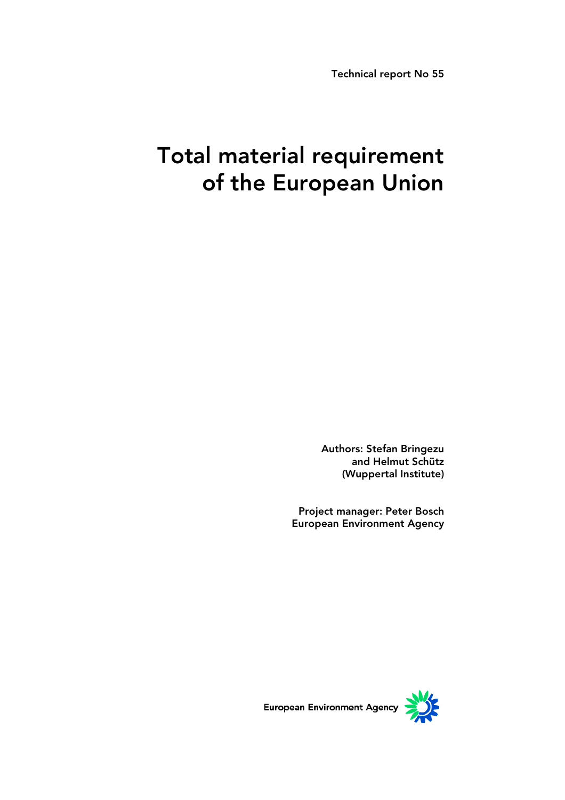Technical report No 55

# Total material requirement of the European Union

Authors: Stefan Bringezu and Helmut Schütz (Wuppertal Institute)

Project manager: Peter Bosch European Environment Agency

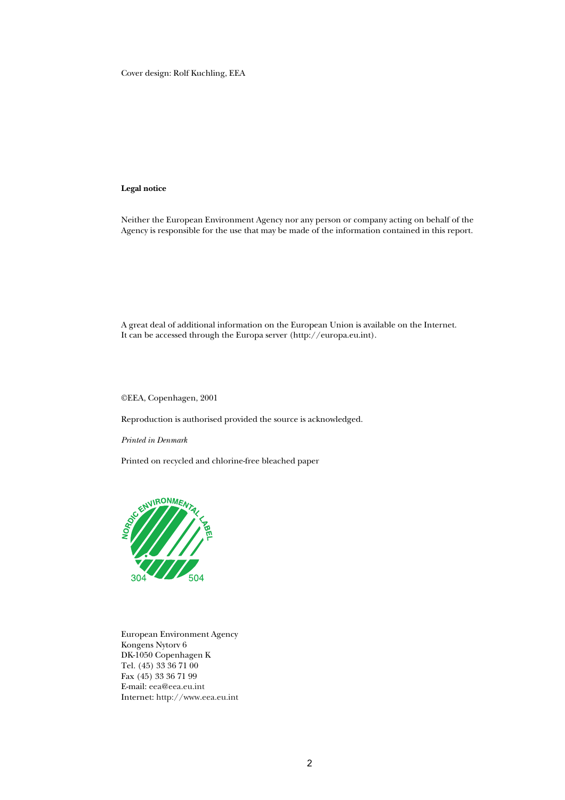Cover design: Rolf Kuchling, EEA

#### **Legal notice**

Neither the European Environment Agency nor any person or company acting on behalf of the Agency is responsible for the use that may be made of the information contained in this report.

A great deal of additional information on the European Union is available on the Internet. It can be accessed through the Europa server (http://europa.eu.int).

©EEA, Copenhagen, 2001

Reproduction is authorised provided the source is acknowledged.

*Printed in Denmark* 

Printed on recycled and chlorine-free bleached paper



European Environment Agency Kongens Nytorv 6 DK-1050 Copenhagen K Tel. (45) 33 36 71 00 Fax (45) 33 36 71 99 E-mail: eea@eea.eu.int Internet: http://www.eea.eu.int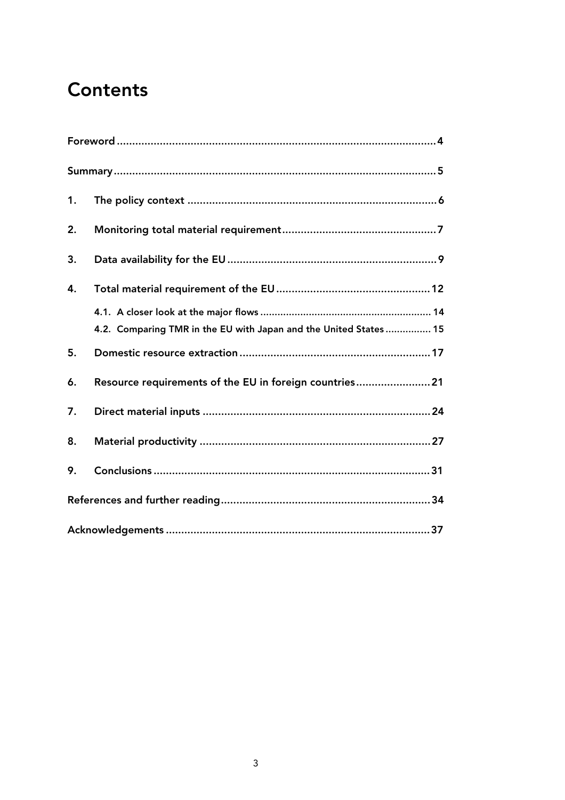## **Contents**

| 1. |                                                                   |
|----|-------------------------------------------------------------------|
| 2. |                                                                   |
| 3. |                                                                   |
| 4. |                                                                   |
|    |                                                                   |
|    | 4.2. Comparing TMR in the EU with Japan and the United States  15 |
| 5. |                                                                   |
| 6. | Resource requirements of the EU in foreign countries 21           |
| 7. |                                                                   |
| 8. |                                                                   |
| 9. |                                                                   |
|    |                                                                   |
|    |                                                                   |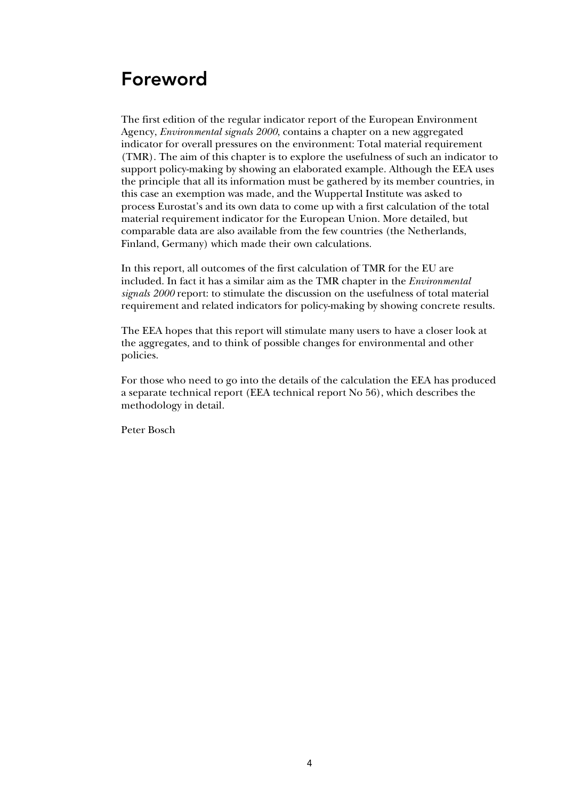## Foreword

The first edition of the regular indicator report of the European Environment Agency, *Environmental signals 2000*, contains a chapter on a new aggregated indicator for overall pressures on the environment: Total material requirement (TMR). The aim of this chapter is to explore the usefulness of such an indicator to support policy-making by showing an elaborated example. Although the EEA uses the principle that all its information must be gathered by its member countries, in this case an exemption was made, and the Wuppertal Institute was asked to process Eurostat's and its own data to come up with a first calculation of the total material requirement indicator for the European Union. More detailed, but comparable data are also available from the few countries (the Netherlands, Finland, Germany) which made their own calculations.

In this report, all outcomes of the first calculation of TMR for the EU are included. In fact it has a similar aim as the TMR chapter in the *Environmental signals 2000* report: to stimulate the discussion on the usefulness of total material requirement and related indicators for policy-making by showing concrete results.

The EEA hopes that this report will stimulate many users to have a closer look at the aggregates, and to think of possible changes for environmental and other policies.

For those who need to go into the details of the calculation the EEA has produced a separate technical report (EEA technical report No 56), which describes the methodology in detail.

Peter Bosch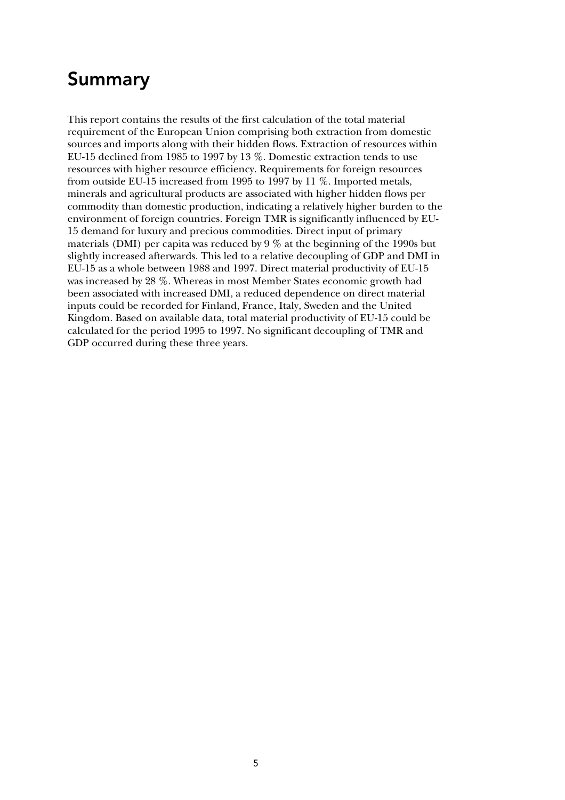## Summary

This report contains the results of the first calculation of the total material requirement of the European Union comprising both extraction from domestic sources and imports along with their hidden flows. Extraction of resources within EU-15 declined from 1985 to 1997 by 13 %. Domestic extraction tends to use resources with higher resource efficiency. Requirements for foreign resources from outside EU-15 increased from 1995 to 1997 by 11 %. Imported metals, minerals and agricultural products are associated with higher hidden flows per commodity than domestic production, indicating a relatively higher burden to the environment of foreign countries. Foreign TMR is significantly influenced by EU-15 demand for luxury and precious commodities. Direct input of primary materials (DMI) per capita was reduced by 9 % at the beginning of the 1990s but slightly increased afterwards. This led to a relative decoupling of GDP and DMI in EU-15 as a whole between 1988 and 1997. Direct material productivity of EU-15 was increased by 28 %. Whereas in most Member States economic growth had been associated with increased DMI, a reduced dependence on direct material inputs could be recorded for Finland, France, Italy, Sweden and the United Kingdom. Based on available data, total material productivity of EU-15 could be calculated for the period 1995 to 1997. No significant decoupling of TMR and GDP occurred during these three years.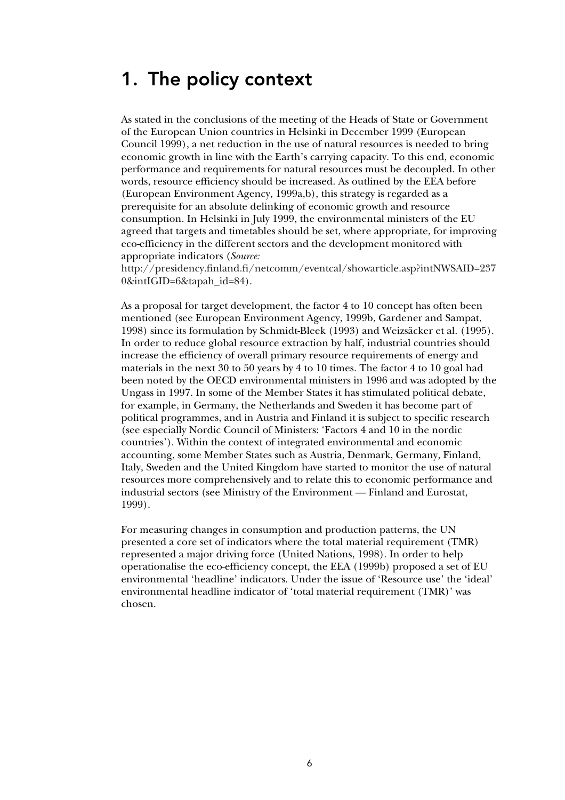### 1. The policy context

As stated in the conclusions of the meeting of the Heads of State or Government of the European Union countries in Helsinki in December 1999 (European Council 1999), a net reduction in the use of natural resources is needed to bring economic growth in line with the Earth's carrying capacity. To this end, economic performance and requirements for natural resources must be decoupled. In other words, resource efficiency should be increased. As outlined by the EEA before (European Environment Agency, 1999a,b), this strategy is regarded as a prerequisite for an absolute delinking of economic growth and resource consumption. In Helsinki in July 1999, the environmental ministers of the EU agreed that targets and timetables should be set, where appropriate, for improving eco-efficiency in the different sectors and the development monitored with appropriate indicators (*Source:*

http://presidency.finland.fi/netcomm/eventcal/showarticle.asp?intNWSAID=237 0&intIGID=6&tapah\_id=84).

As a proposal for target development, the factor 4 to 10 concept has often been mentioned (see European Environment Agency, 1999b, Gardener and Sampat, 1998) since its formulation by Schmidt-Bleek (1993) and Weizsäcker et al. (1995). In order to reduce global resource extraction by half, industrial countries should increase the efficiency of overall primary resource requirements of energy and materials in the next 30 to 50 years by 4 to 10 times. The factor 4 to 10 goal had been noted by the OECD environmental ministers in 1996 and was adopted by the Ungass in 1997. In some of the Member States it has stimulated political debate, for example, in Germany, the Netherlands and Sweden it has become part of political programmes, and in Austria and Finland it is subject to specific research (see especially Nordic Council of Ministers: 'Factors 4 and 10 in the nordic countries'). Within the context of integrated environmental and economic accounting, some Member States such as Austria, Denmark, Germany, Finland, Italy, Sweden and the United Kingdom have started to monitor the use of natural resources more comprehensively and to relate this to economic performance and industrial sectors (see Ministry of the Environment — Finland and Eurostat, 1999).

For measuring changes in consumption and production patterns, the UN presented a core set of indicators where the total material requirement (TMR) represented a major driving force (United Nations, 1998). In order to help operationalise the eco-efficiency concept, the EEA (1999b) proposed a set of EU environmental 'headline' indicators. Under the issue of 'Resource use' the 'ideal' environmental headline indicator of 'total material requirement (TMR)' was chosen.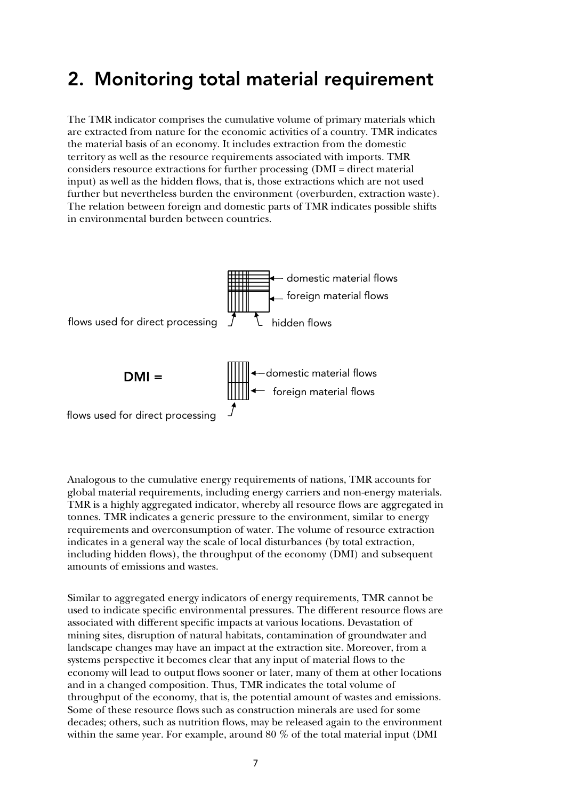### 2. Monitoring total material requirement

The TMR indicator comprises the cumulative volume of primary materials which are extracted from nature for the economic activities of a country. TMR indicates the material basis of an economy. It includes extraction from the domestic territory as well as the resource requirements associated with imports. TMR considers resource extractions for further processing (DMI = direct material input) as well as the hidden flows, that is, those extractions which are not used further but nevertheless burden the environment (overburden, extraction waste). The relation between foreign and domestic parts of TMR indicates possible shifts in environmental burden between countries.



Analogous to the cumulative energy requirements of nations, TMR accounts for global material requirements, including energy carriers and non-energy materials. TMR is a highly aggregated indicator, whereby all resource flows are aggregated in tonnes. TMR indicates a generic pressure to the environment, similar to energy requirements and overconsumption of water. The volume of resource extraction indicates in a general way the scale of local disturbances (by total extraction, including hidden flows), the throughput of the economy (DMI) and subsequent amounts of emissions and wastes.

Similar to aggregated energy indicators of energy requirements, TMR cannot be used to indicate specific environmental pressures. The different resource flows are associated with different specific impacts at various locations. Devastation of mining sites, disruption of natural habitats, contamination of groundwater and landscape changes may have an impact at the extraction site. Moreover, from a systems perspective it becomes clear that any input of material flows to the economy will lead to output flows sooner or later, many of them at other locations and in a changed composition. Thus, TMR indicates the total volume of throughput of the economy, that is, the potential amount of wastes and emissions. Some of these resource flows such as construction minerals are used for some decades; others, such as nutrition flows, may be released again to the environment within the same year. For example, around 80 % of the total material input (DMI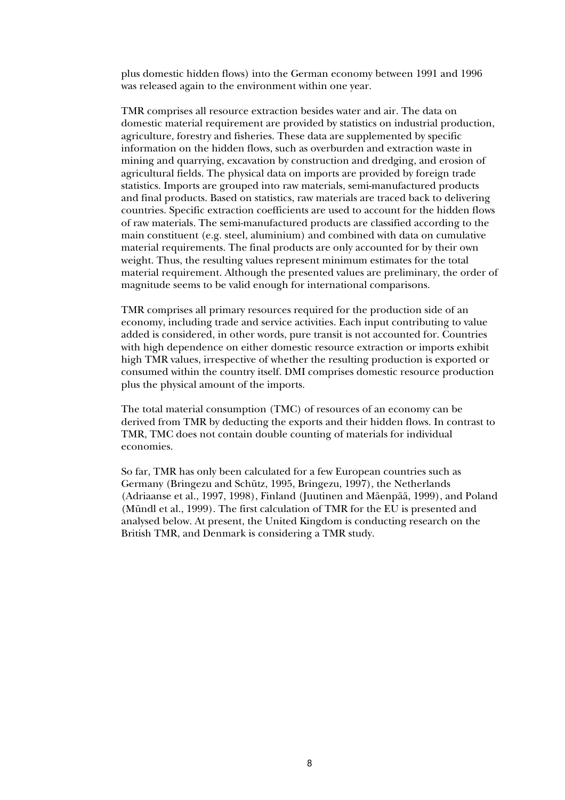plus domestic hidden flows) into the German economy between 1991 and 1996 was released again to the environment within one year.

TMR comprises all resource extraction besides water and air. The data on domestic material requirement are provided by statistics on industrial production, agriculture, forestry and fisheries. These data are supplemented by specific information on the hidden flows, such as overburden and extraction waste in mining and quarrying, excavation by construction and dredging, and erosion of agricultural fields. The physical data on imports are provided by foreign trade statistics. Imports are grouped into raw materials, semi-manufactured products and final products. Based on statistics, raw materials are traced back to delivering countries. Specific extraction coefficients are used to account for the hidden flows of raw materials. The semi-manufactured products are classified according to the main constituent (e.g. steel, aluminium) and combined with data on cumulative material requirements. The final products are only accounted for by their own weight. Thus, the resulting values represent minimum estimates for the total material requirement. Although the presented values are preliminary, the order of magnitude seems to be valid enough for international comparisons.

TMR comprises all primary resources required for the production side of an economy, including trade and service activities. Each input contributing to value added is considered, in other words, pure transit is not accounted for. Countries with high dependence on either domestic resource extraction or imports exhibit high TMR values, irrespective of whether the resulting production is exported or consumed within the country itself. DMI comprises domestic resource production plus the physical amount of the imports.

The total material consumption (TMC) of resources of an economy can be derived from TMR by deducting the exports and their hidden flows. In contrast to TMR, TMC does not contain double counting of materials for individual economies.

So far, TMR has only been calculated for a few European countries such as Germany (Bringezu and Schütz, 1995, Bringezu, 1997), the Netherlands (Adriaanse et al., 1997, 1998), Finland (Juutinen and Mäenpää, 1999), and Poland (Mündl et al., 1999). The first calculation of TMR for the EU is presented and analysed below. At present, the United Kingdom is conducting research on the British TMR, and Denmark is considering a TMR study.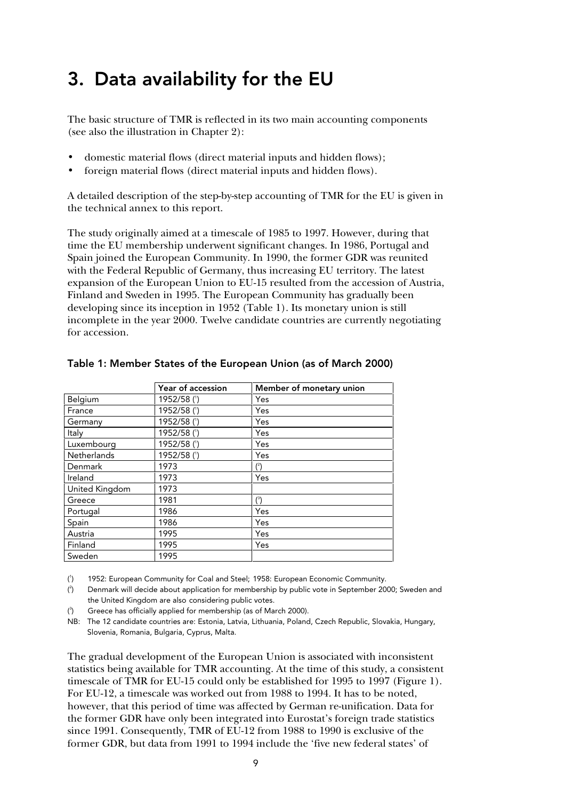## 3. Data availability for the EU

The basic structure of TMR is reflected in its two main accounting components (see also the illustration in Chapter 2):

- domestic material flows (direct material inputs and hidden flows);
- foreign material flows (direct material inputs and hidden flows).

A detailed description of the step-by-step accounting of TMR for the EU is given in the technical annex to this report.

The study originally aimed at a timescale of 1985 to 1997. However, during that time the EU membership underwent significant changes. In 1986, Portugal and Spain joined the European Community. In 1990, the former GDR was reunited with the Federal Republic of Germany, thus increasing EU territory. The latest expansion of the European Union to EU-15 resulted from the accession of Austria, Finland and Sweden in 1995. The European Community has gradually been developing since its inception in 1952 (Table 1). Its monetary union is still incomplete in the year 2000. Twelve candidate countries are currently negotiating for accession.

|                    | Year of accession | Member of monetary union |
|--------------------|-------------------|--------------------------|
| Belgium            | 1952/58(1)        | Yes                      |
| France             | 1952/58 (1)       | Yes                      |
| Germany            | 1952/58 (1)       | Yes                      |
| Italy              | 1952/58 (1)       | Yes                      |
| Luxembourg         | 1952/58 (1)       | Yes                      |
| <b>Netherlands</b> | 1952/58 (1)       | Yes                      |
| Denmark            | 1973              | $(^{2})$                 |
| Ireland            | 1973              | Yes                      |
| United Kingdom     | 1973              |                          |
| Greece             | 1981              | $(^3)$                   |
| Portugal           | 1986              | Yes                      |
| Spain              | 1986              | Yes                      |
| Austria            | 1995              | Yes                      |
| Finland            | 1995              | Yes                      |
| Sweden             | 1995              |                          |

### Table 1: Member States of the European Union (as of March 2000)

( 1 ) 1952: European Community for Coal and Steel; 1958: European Economic Community.

( 2 ) Denmark will decide about application for membership by public vote in September 2000; Sweden and the United Kingdom are also considering public votes.

 $\int_3$ ) Greece has officially applied for membership (as of March 2000).

NB: The 12 candidate countries are: Estonia, Latvia, Lithuania, Poland, Czech Republic, Slovakia, Hungary, Slovenia, Romania, Bulgaria, Cyprus, Malta.

The gradual development of the European Union is associated with inconsistent statistics being available for TMR accounting. At the time of this study, a consistent timescale of TMR for EU-15 could only be established for 1995 to 1997 (Figure 1). For EU-12, a timescale was worked out from 1988 to 1994. It has to be noted, however, that this period of time was affected by German re-unification. Data for the former GDR have only been integrated into Eurostat's foreign trade statistics since 1991. Consequently, TMR of EU-12 from 1988 to 1990 is exclusive of the former GDR, but data from 1991 to 1994 include the 'five new federal states' of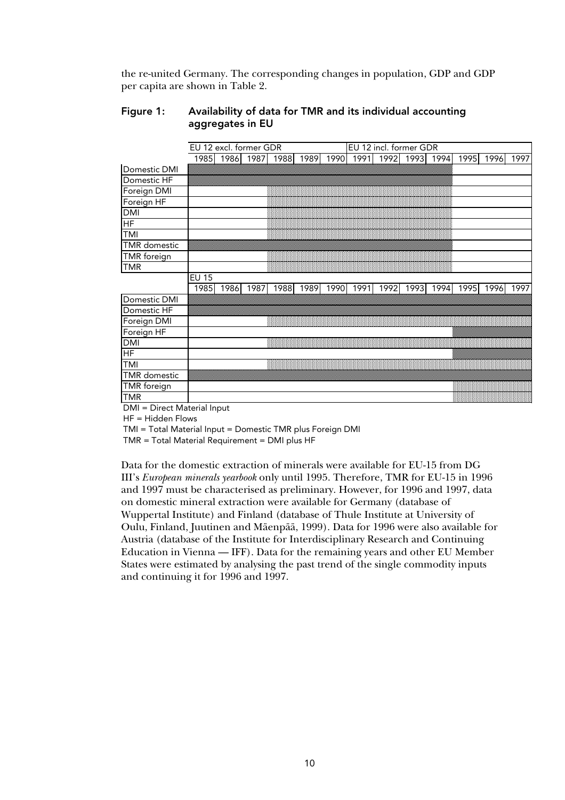the re-united Germany. The corresponding changes in population, GDP and GDP per capita are shown in Table 2.

### Figure 1: Availability of data for TMR and its individual accounting aggregates in EU

|                     | EU 12 incl. former GDR<br>EU 12 excl. former GDR |           |      |      |      |      |      |      |      |      |      |      |      |
|---------------------|--------------------------------------------------|-----------|------|------|------|------|------|------|------|------|------|------|------|
|                     |                                                  | 1985 1986 | 1987 | 1988 | 1989 | 1990 | 1991 | 1992 | 1993 | 1994 | 1995 | 1996 | 1997 |
| Domestic DMI        |                                                  |           |      |      |      |      |      |      |      |      |      |      |      |
| Domestic HF         |                                                  |           |      |      |      |      |      |      |      |      |      |      |      |
| Foreign DMI         |                                                  |           |      |      |      |      |      |      |      |      |      |      |      |
| Foreign HF          |                                                  |           |      |      |      |      |      |      |      |      |      |      |      |
| <b>DMI</b>          |                                                  |           |      |      |      |      |      |      |      |      |      |      |      |
| HF                  |                                                  |           |      |      |      |      |      |      |      |      |      |      |      |
| TMI                 |                                                  |           |      |      |      |      |      |      |      |      |      |      |      |
| <b>TMR</b> domestic |                                                  |           |      |      |      |      |      |      |      |      |      |      |      |
| TMR foreign         |                                                  |           |      |      |      |      |      |      |      |      |      |      |      |
| <b>TMR</b>          |                                                  |           |      |      |      |      |      |      |      |      |      |      |      |
|                     | <b>EU 15</b>                                     |           |      |      |      |      |      |      |      |      |      |      |      |
|                     | 1985                                             | 1986      | 1987 | 1988 | 1989 | 1990 | 1991 | 1992 | 1993 | 1994 | 1995 | 1996 | 1997 |
| Domestic DMI        |                                                  |           |      |      |      |      |      |      |      |      |      |      |      |
| Domestic HF         |                                                  |           |      |      |      |      |      |      |      |      |      |      |      |
| Foreign DMI         |                                                  |           |      |      |      |      |      |      |      |      |      |      |      |
| Foreign HF          |                                                  |           |      |      |      |      |      |      |      |      |      |      |      |
| <b>DMI</b>          |                                                  |           |      |      |      |      |      |      |      |      |      |      |      |
| $\overline{HF}$     |                                                  |           |      |      |      |      |      |      |      |      |      |      |      |
| TMI                 |                                                  |           |      |      |      |      |      |      |      |      |      |      |      |
| <b>TMR</b> domestic |                                                  |           |      |      |      |      |      |      |      |      |      |      |      |
| TMR foreign         |                                                  |           |      |      |      |      |      |      |      |      |      |      |      |
| TMR                 |                                                  |           |      |      |      |      |      |      |      |      |      |      |      |

DMI = Direct Material Input

HF = Hidden Flows

TMI = Total Material Input = Domestic TMR plus Foreign DMI

TMR = Total Material Requirement = DMI plus HF

Data for the domestic extraction of minerals were available for EU-15 from DG III's *European minerals yearbook* only until 1995. Therefore, TMR for EU-15 in 1996 and 1997 must be characterised as preliminary. However, for 1996 and 1997, data on domestic mineral extraction were available for Germany (database of Wuppertal Institute) and Finland (database of Thule Institute at University of Oulu, Finland, Juutinen and Mäenpää, 1999). Data for 1996 were also available for Austria (database of the Institute for Interdisciplinary Research and Continuing Education in Vienna — IFF). Data for the remaining years and other EU Member States were estimated by analysing the past trend of the single commodity inputs and continuing it for 1996 and 1997.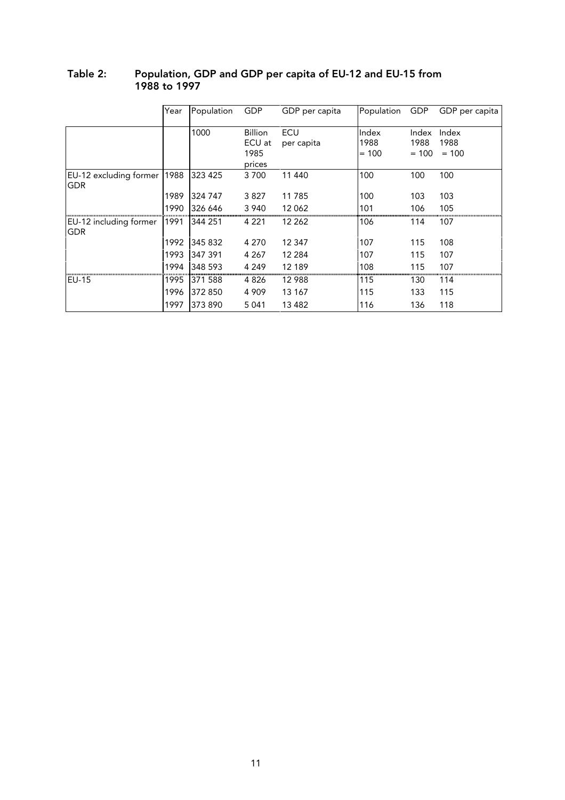|                                      | Year | Population | GDP                                        | GDP per capita    | Population               | GDP                      | GDP per capita           |
|--------------------------------------|------|------------|--------------------------------------------|-------------------|--------------------------|--------------------------|--------------------------|
|                                      |      | 1000       | <b>Billion</b><br>ECU at<br>1985<br>prices | ECU<br>per capita | Index<br>1988<br>$= 100$ | Index<br>1988<br>$= 100$ | Index<br>1988<br>$= 100$ |
| EU-12 excluding former<br><b>GDR</b> | 1988 | 323 425    | 3700                                       | 11 440            | 100                      | 100                      | 100                      |
|                                      | 1989 | 324 747    | 3827                                       | 11 785            | 100                      | 103                      | 103                      |
|                                      | 1990 | 326 646    | 3 9 4 0                                    | 12 062            | 101                      | 106                      | 105                      |
| EU-12 including former<br><b>GDR</b> | 1991 | 344 251    | 4 2 2 1                                    | 12 262            | 106                      | 114                      | 107                      |
|                                      | 1992 | 345 832    | 4 2 7 0                                    | 12 347            | 107                      | 115                      | 108                      |
|                                      | 1993 | 347 391    | 4 2 6 7                                    | 12 2 8 4          | 107                      | 115                      | 107                      |
|                                      | 1994 | 348 593    | 4 2 4 9                                    | 12 189            | 108                      | 115                      | 107                      |
| <b>IEU-15</b>                        | 1995 | 371 588    | 4 8 2 6                                    | 12 988            | 115                      | 130                      | 114                      |
|                                      | 1996 | 372 850    | 4 9 0 9                                    | 13 167            | 115                      | 133                      | 115                      |
|                                      | 1997 | 373 890    | 5 0 4 1                                    | 13 4 8 2          | 116                      | 136                      | 118                      |

### Table 2: Population, GDP and GDP per capita of EU-12 and EU-15 from 1988 to 1997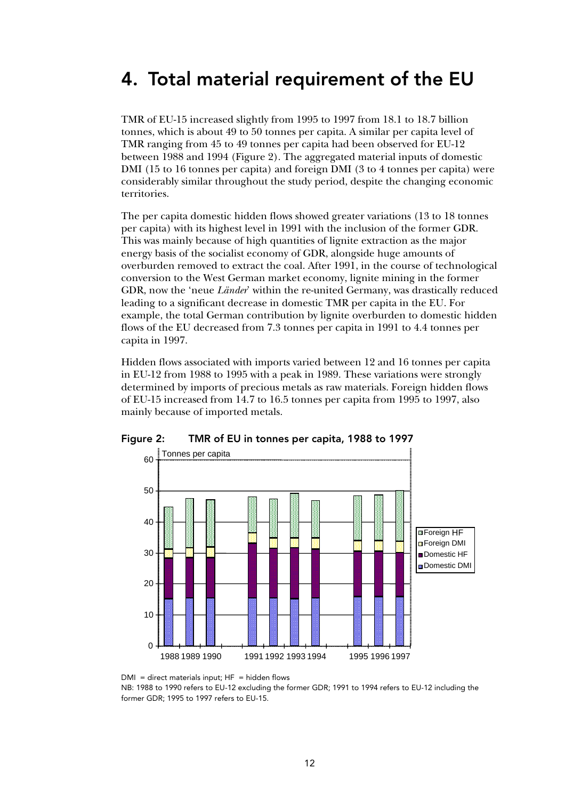## 4. Total material requirement of the EU

TMR of EU-15 increased slightly from 1995 to 1997 from 18.1 to 18.7 billion tonnes, which is about 49 to 50 tonnes per capita. A similar per capita level of TMR ranging from 45 to 49 tonnes per capita had been observed for EU-12 between 1988 and 1994 (Figure 2). The aggregated material inputs of domestic DMI (15 to 16 tonnes per capita) and foreign DMI (3 to 4 tonnes per capita) were considerably similar throughout the study period, despite the changing economic territories.

The per capita domestic hidden flows showed greater variations (13 to 18 tonnes per capita) with its highest level in 1991 with the inclusion of the former GDR. This was mainly because of high quantities of lignite extraction as the major energy basis of the socialist economy of GDR, alongside huge amounts of overburden removed to extract the coal. After 1991, in the course of technological conversion to the West German market economy, lignite mining in the former GDR, now the 'neue *Länder*' within the re-united Germany, was drastically reduced leading to a significant decrease in domestic TMR per capita in the EU. For example, the total German contribution by lignite overburden to domestic hidden flows of the EU decreased from 7.3 tonnes per capita in 1991 to 4.4 tonnes per capita in 1997.

Hidden flows associated with imports varied between 12 and 16 tonnes per capita in EU-12 from 1988 to 1995 with a peak in 1989. These variations were strongly determined by imports of precious metals as raw materials. Foreign hidden flows of EU-15 increased from 14.7 to 16.5 tonnes per capita from 1995 to 1997, also mainly because of imported metals.



Figure 2: TMR of EU in tonnes per capita, 1988 to 1997

 $DMI =$  direct materials input;  $HF =$  hidden flows

NB: 1988 to 1990 refers to EU-12 excluding the former GDR; 1991 to 1994 refers to EU-12 including the former GDR; 1995 to 1997 refers to EU-15.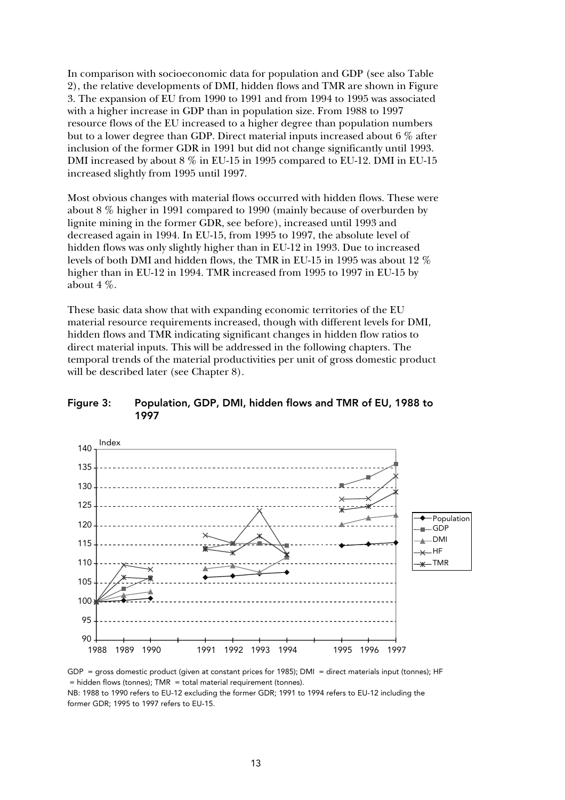In comparison with socioeconomic data for population and GDP (see also Table 2), the relative developments of DMI, hidden flows and TMR are shown in Figure 3. The expansion of EU from 1990 to 1991 and from 1994 to 1995 was associated with a higher increase in GDP than in population size. From 1988 to 1997 resource flows of the EU increased to a higher degree than population numbers but to a lower degree than GDP. Direct material inputs increased about 6 % after inclusion of the former GDR in 1991 but did not change significantly until 1993. DMI increased by about 8 % in EU-15 in 1995 compared to EU-12. DMI in EU-15 increased slightly from 1995 until 1997.

Most obvious changes with material flows occurred with hidden flows. These were about 8 % higher in 1991 compared to 1990 (mainly because of overburden by lignite mining in the former GDR, see before), increased until 1993 and decreased again in 1994. In EU-15, from 1995 to 1997, the absolute level of hidden flows was only slightly higher than in EU-12 in 1993. Due to increased levels of both DMI and hidden flows, the TMR in EU-15 in 1995 was about 12 % higher than in EU-12 in 1994. TMR increased from 1995 to 1997 in EU-15 by about 4 %.

These basic data show that with expanding economic territories of the EU material resource requirements increased, though with different levels for DMI, hidden flows and TMR indicating significant changes in hidden flow ratios to direct material inputs. This will be addressed in the following chapters. The temporal trends of the material productivities per unit of gross domestic product will be described later (see Chapter 8).



Figure 3: Population, GDP, DMI, hidden flows and TMR of EU, 1988 to 1997

GDP = gross domestic product (given at constant prices for 1985); DMI = direct materials input (tonnes); HF  $=$  hidden flows (tonnes); TMR  $=$  total material requirement (tonnes).

NB: 1988 to 1990 refers to EU-12 excluding the former GDR; 1991 to 1994 refers to EU-12 including the former GDR; 1995 to 1997 refers to EU-15.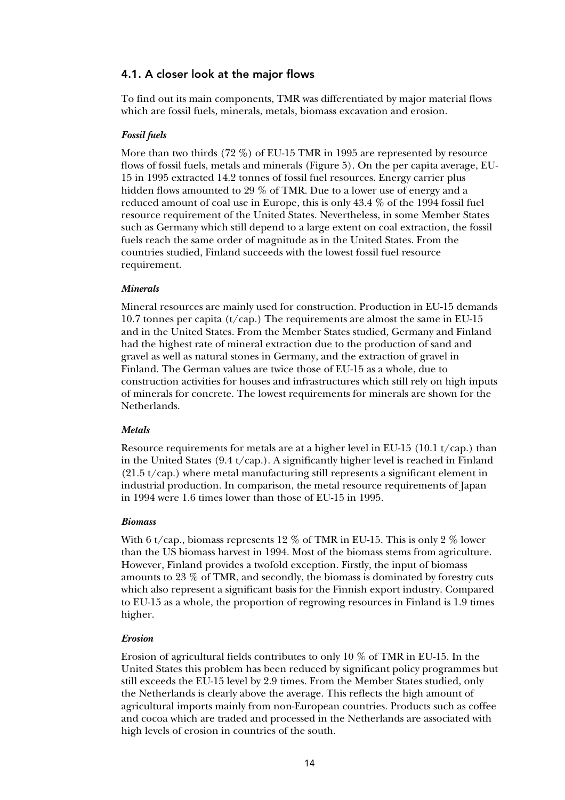### 4.1. A closer look at the major flows

To find out its main components, TMR was differentiated by major material flows which are fossil fuels, minerals, metals, biomass excavation and erosion.

#### *Fossil fuels*

More than two thirds (72 %) of EU-15 TMR in 1995 are represented by resource flows of fossil fuels, metals and minerals (Figure 5). On the per capita average, EU-15 in 1995 extracted 14.2 tonnes of fossil fuel resources. Energy carrier plus hidden flows amounted to 29 % of TMR. Due to a lower use of energy and a reduced amount of coal use in Europe, this is only 43.4 % of the 1994 fossil fuel resource requirement of the United States. Nevertheless, in some Member States such as Germany which still depend to a large extent on coal extraction, the fossil fuels reach the same order of magnitude as in the United States. From the countries studied, Finland succeeds with the lowest fossil fuel resource requirement.

#### *Minerals*

Mineral resources are mainly used for construction. Production in EU-15 demands 10.7 tonnes per capita ( $t/cap$ .) The requirements are almost the same in EU-15 and in the United States. From the Member States studied, Germany and Finland had the highest rate of mineral extraction due to the production of sand and gravel as well as natural stones in Germany, and the extraction of gravel in Finland. The German values are twice those of EU-15 as a whole, due to construction activities for houses and infrastructures which still rely on high inputs of minerals for concrete. The lowest requirements for minerals are shown for the Netherlands.

#### *Metals*

Resource requirements for metals are at a higher level in EU-15 (10.1 t/cap.) than in the United States  $(9.4 \frac{t}{cap})$ . A significantly higher level is reached in Finland (21.5 t/cap.) where metal manufacturing still represents a significant element in industrial production. In comparison, the metal resource requirements of Japan in 1994 were 1.6 times lower than those of EU-15 in 1995.

#### *Biomass*

With 6 t/cap., biomass represents 12 % of TMR in EU-15. This is only 2 % lower than the US biomass harvest in 1994. Most of the biomass stems from agriculture. However, Finland provides a twofold exception. Firstly, the input of biomass amounts to 23 % of TMR, and secondly, the biomass is dominated by forestry cuts which also represent a significant basis for the Finnish export industry. Compared to EU-15 as a whole, the proportion of regrowing resources in Finland is 1.9 times higher.

#### *Erosion*

Erosion of agricultural fields contributes to only 10 % of TMR in EU-15. In the United States this problem has been reduced by significant policy programmes but still exceeds the EU-15 level by 2.9 times. From the Member States studied, only the Netherlands is clearly above the average. This reflects the high amount of agricultural imports mainly from non-European countries. Products such as coffee and cocoa which are traded and processed in the Netherlands are associated with high levels of erosion in countries of the south.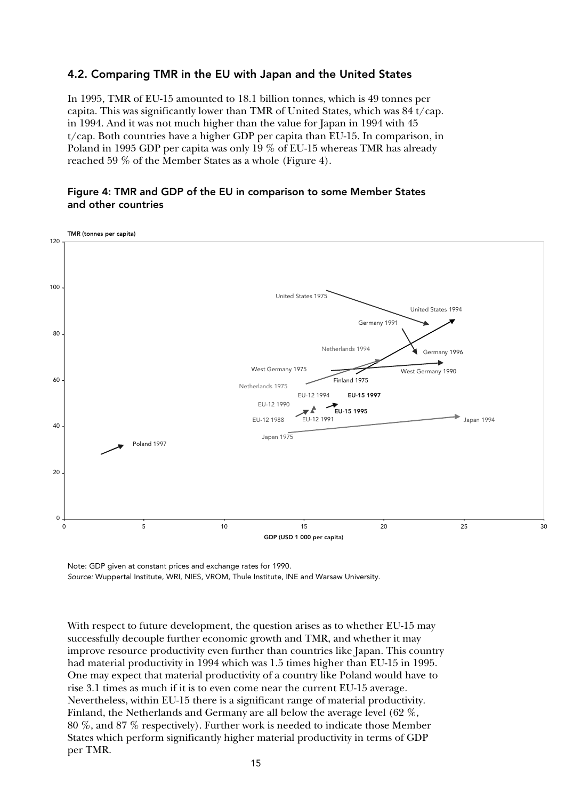### 4.2. Comparing TMR in the EU with Japan and the United States

In 1995, TMR of EU-15 amounted to 18.1 billion tonnes, which is 49 tonnes per capita. This was significantly lower than TMR of United States, which was  $84 \frac{t}{cap}$ . in 1994. And it was not much higher than the value for Japan in 1994 with 45 t/cap. Both countries have a higher GDP per capita than EU-15. In comparison, in Poland in 1995 GDP per capita was only 19 % of EU-15 whereas TMR has already reached 59 % of the Member States as a whole (Figure 4).

### Figure 4: TMR and GDP of the EU in comparison to some Member States and other countries



Note: GDP given at constant prices and exchange rates for 1990. Source: Wuppertal Institute, WRI, NIES, VROM, Thule Institute, INE and Warsaw University.

With respect to future development, the question arises as to whether EU-15 may successfully decouple further economic growth and TMR, and whether it may improve resource productivity even further than countries like Japan. This country had material productivity in 1994 which was 1.5 times higher than EU-15 in 1995. One may expect that material productivity of a country like Poland would have to rise 3.1 times as much if it is to even come near the current EU-15 average. Nevertheless, within EU-15 there is a significant range of material productivity. Finland, the Netherlands and Germany are all below the average level (62 %, 80 %, and 87 % respectively). Further work is needed to indicate those Member States which perform significantly higher material productivity in terms of GDP per TMR.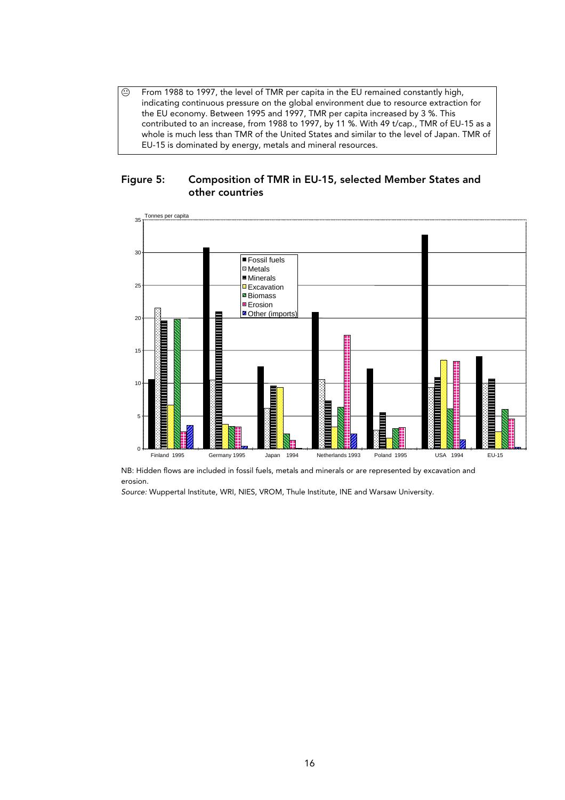$\odot$  From 1988 to 1997, the level of TMR per capita in the EU remained constantly high, indicating continuous pressure on the global environment due to resource extraction for the EU economy. Between 1995 and 1997, TMR per capita increased by 3 %. This contributed to an increase, from 1988 to 1997, by 11 %. With 49 t/cap., TMR of EU-15 as a whole is much less than TMR of the United States and similar to the level of Japan. TMR of EU-15 is dominated by energy, metals and mineral resources.





NB: Hidden flows are included in fossil fuels, metals and minerals or are represented by excavation and erosion.

Source: Wuppertal Institute, WRI, NIES, VROM, Thule Institute, INE and Warsaw University.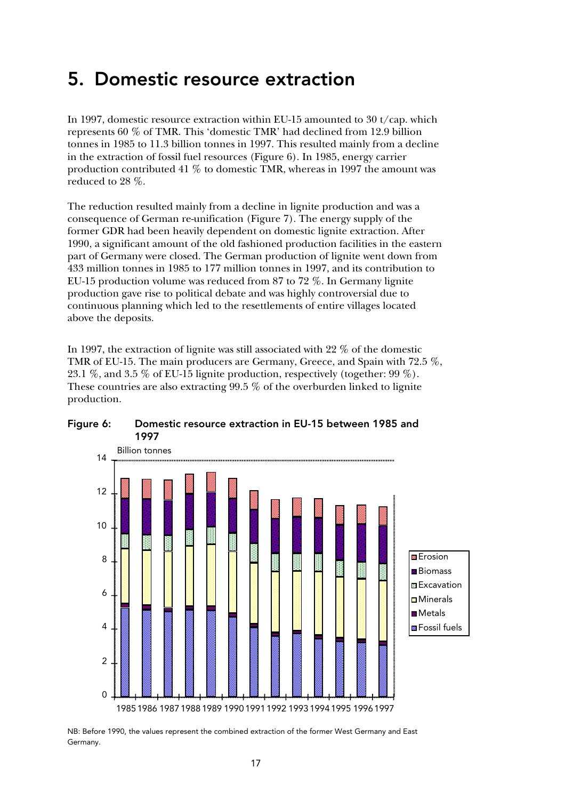## 5. Domestic resource extraction

In 1997, domestic resource extraction within EU-15 amounted to 30 t/cap. which represents 60 % of TMR. This 'domestic TMR' had declined from 12.9 billion tonnes in 1985 to 11.3 billion tonnes in 1997. This resulted mainly from a decline in the extraction of fossil fuel resources (Figure 6). In 1985, energy carrier production contributed 41 % to domestic TMR, whereas in 1997 the amount was reduced to 28 %.

The reduction resulted mainly from a decline in lignite production and was a consequence of German re-unification (Figure 7). The energy supply of the former GDR had been heavily dependent on domestic lignite extraction. After 1990, a significant amount of the old fashioned production facilities in the eastern part of Germany were closed. The German production of lignite went down from 433 million tonnes in 1985 to 177 million tonnes in 1997, and its contribution to EU-15 production volume was reduced from 87 to 72 %. In Germany lignite production gave rise to political debate and was highly controversial due to continuous planning which led to the resettlements of entire villages located above the deposits.

In 1997, the extraction of lignite was still associated with 22 % of the domestic TMR of EU-15. The main producers are Germany, Greece, and Spain with 72.5 %, 23.1 %, and 3.5 % of EU-15 lignite production, respectively (together: 99 %). These countries are also extracting 99.5 % of the overburden linked to lignite production.



Figure 6: Domestic resource extraction in EU-15 between 1985 and 1997

NB: Before 1990, the values represent the combined extraction of the former West Germany and East Germany.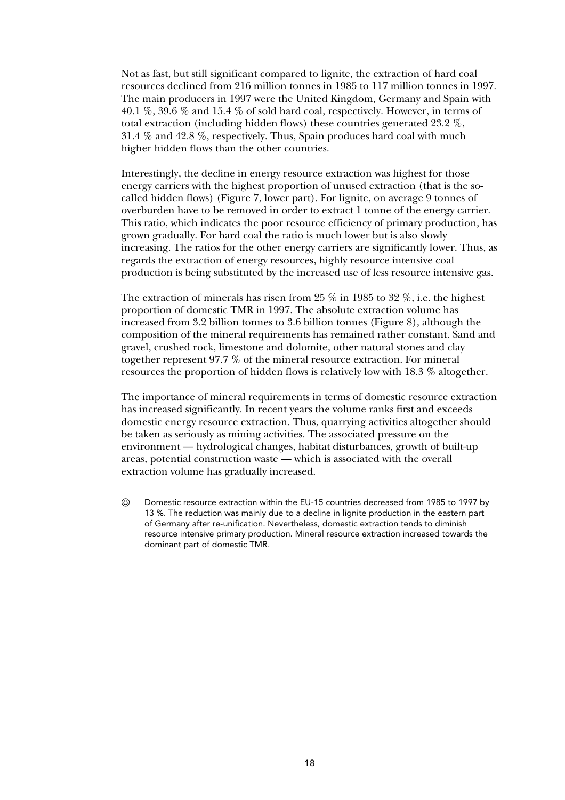Not as fast, but still significant compared to lignite, the extraction of hard coal resources declined from 216 million tonnes in 1985 to 117 million tonnes in 1997. The main producers in 1997 were the United Kingdom, Germany and Spain with 40.1 %, 39.6 % and 15.4 % of sold hard coal, respectively. However, in terms of total extraction (including hidden flows) these countries generated 23.2 %, 31.4 % and 42.8 %, respectively. Thus, Spain produces hard coal with much higher hidden flows than the other countries.

Interestingly, the decline in energy resource extraction was highest for those energy carriers with the highest proportion of unused extraction (that is the socalled hidden flows) (Figure 7, lower part). For lignite, on average 9 tonnes of overburden have to be removed in order to extract 1 tonne of the energy carrier. This ratio, which indicates the poor resource efficiency of primary production, has grown gradually. For hard coal the ratio is much lower but is also slowly increasing. The ratios for the other energy carriers are significantly lower. Thus, as regards the extraction of energy resources, highly resource intensive coal production is being substituted by the increased use of less resource intensive gas.

The extraction of minerals has risen from 25  $\%$  in 1985 to 32  $\%$ , i.e. the highest proportion of domestic TMR in 1997. The absolute extraction volume has increased from 3.2 billion tonnes to 3.6 billion tonnes (Figure 8), although the composition of the mineral requirements has remained rather constant. Sand and gravel, crushed rock, limestone and dolomite, other natural stones and clay together represent 97.7 % of the mineral resource extraction. For mineral resources the proportion of hidden flows is relatively low with 18.3 % altogether.

The importance of mineral requirements in terms of domestic resource extraction has increased significantly. In recent years the volume ranks first and exceeds domestic energy resource extraction. Thus, quarrying activities altogether should be taken as seriously as mining activities. The associated pressure on the environment — hydrological changes, habitat disturbances, growth of built-up areas, potential construction waste — which is associated with the overall extraction volume has gradually increased.

 $\circledcirc$  Domestic resource extraction within the EU-15 countries decreased from 1985 to 1997 by 13 %. The reduction was mainly due to a decline in lignite production in the eastern part of Germany after re-unification. Nevertheless, domestic extraction tends to diminish resource intensive primary production. Mineral resource extraction increased towards the dominant part of domestic TMR.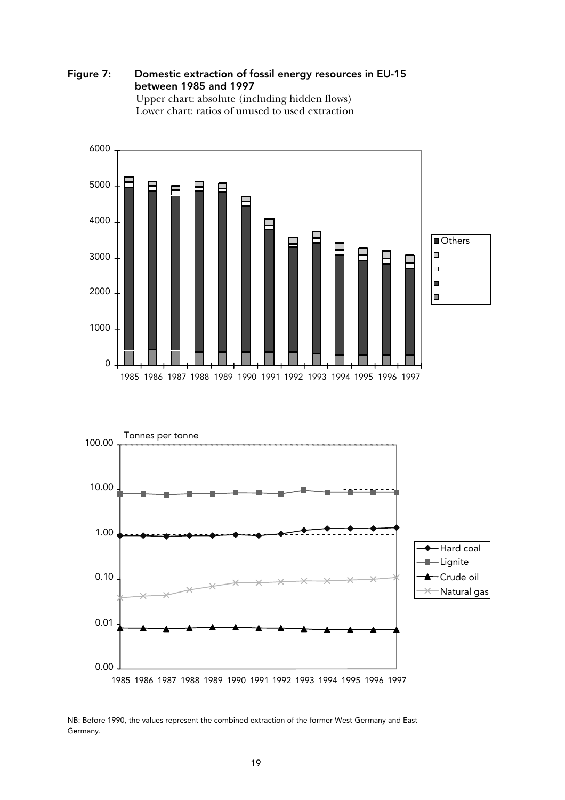

 Upper chart: absolute (including hidden flows) Lower chart: ratios of unused to used extraction



0.00

0.01

1985 1986 1987 1988 1989 1990 1991 1992 1993 1994 1995 1996 1997

NB: Before 1990, the values represent the combined extraction of the former West Germany and East Germany.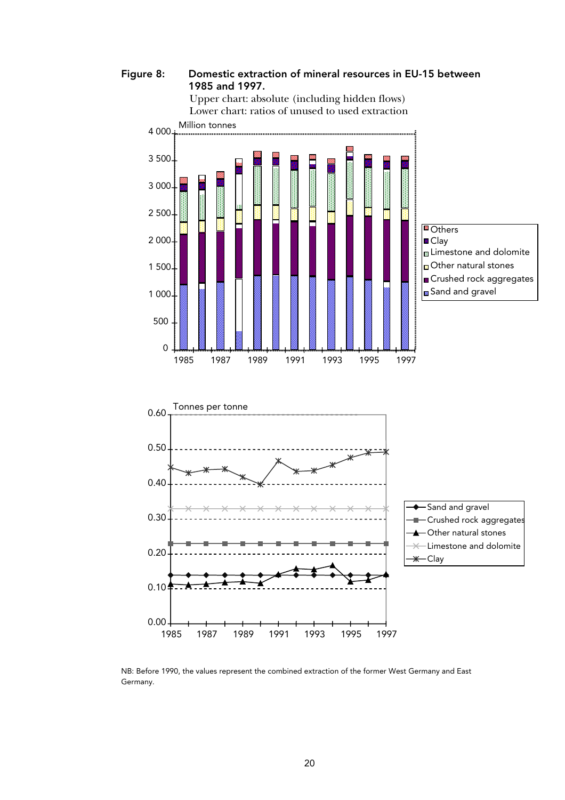Figure 8: Domestic extraction of mineral resources in EU-15 between 1985 and 1997.





NB: Before 1990, the values represent the combined extraction of the former West Germany and East Germany.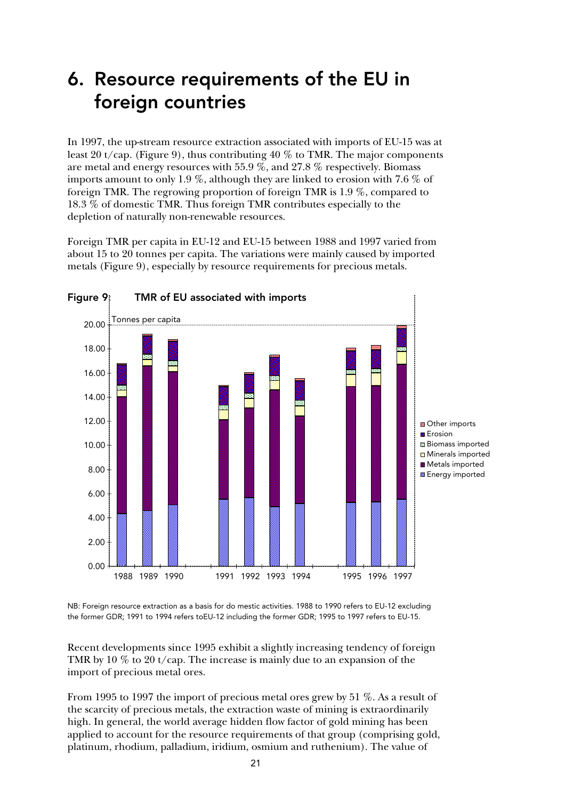## 6. Resource requirements of the EU in foreign countries

In 1997, the up-stream resource extraction associated with imports of EU-15 was at least 20 t/cap. (Figure 9), thus contributing 40 % to TMR. The major components are metal and energy resources with 55.9 %, and 27.8 % respectively. Biomass imports amount to only 1.9 %, although they are linked to erosion with 7.6 % of foreign TMR. The regrowing proportion of foreign TMR is 1.9 %, compared to 18.3 % of domestic TMR. Thus foreign TMR contributes especially to the depletion of naturally non-renewable resources.

Foreign TMR per capita in EU-12 and EU-15 between 1988 and 1997 varied from about 15 to 20 tonnes per capita. The variations were mainly caused by imported metals (Figure 9), especially by resource requirements for precious metals.



NB: Foreign resource extraction as a basis for do mestic activities. 1988 to 1990 refers to EU-12 excluding the former GDR; 1991 to 1994 refers toEU-12 including the former GDR; 1995 to 1997 refers to EU-15.

Recent developments since 1995 exhibit a slightly increasing tendency of foreign TMR by 10 % to 20 t/cap. The increase is mainly due to an expansion of the import of precious metal ores.

From 1995 to 1997 the import of precious metal ores grew by 51 %. As a result of the scarcity of precious metals, the extraction waste of mining is extraordinarily high. In general, the world average hidden flow factor of gold mining has been applied to account for the resource requirements of that group (comprising gold, platinum, rhodium, palladium, iridium, osmium and ruthenium). The value of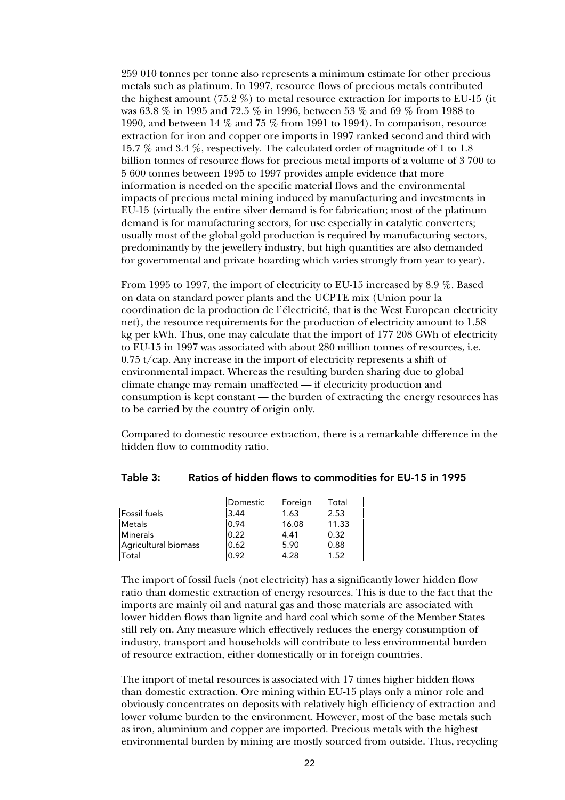259 010 tonnes per tonne also represents a minimum estimate for other precious metals such as platinum. In 1997, resource flows of precious metals contributed the highest amount (75.2 %) to metal resource extraction for imports to EU-15 (it was 63.8 % in 1995 and 72.5 % in 1996, between 53 % and 69 % from 1988 to 1990, and between 14 % and 75 % from 1991 to 1994). In comparison, resource extraction for iron and copper ore imports in 1997 ranked second and third with 15.7 % and 3.4 %, respectively. The calculated order of magnitude of 1 to 1.8 billion tonnes of resource flows for precious metal imports of a volume of 3 700 to 5 600 tonnes between 1995 to 1997 provides ample evidence that more information is needed on the specific material flows and the environmental impacts of precious metal mining induced by manufacturing and investments in EU-15 (virtually the entire silver demand is for fabrication; most of the platinum demand is for manufacturing sectors, for use especially in catalytic converters; usually most of the global gold production is required by manufacturing sectors, predominantly by the jewellery industry, but high quantities are also demanded for governmental and private hoarding which varies strongly from year to year).

From 1995 to 1997, the import of electricity to EU-15 increased by 8.9 %. Based on data on standard power plants and the UCPTE mix (Union pour la coordination de la production de l'électricité, that is the West European electricity net), the resource requirements for the production of electricity amount to 1.58 kg per kWh. Thus, one may calculate that the import of 177 208 GWh of electricity to EU-15 in 1997 was associated with about 280 million tonnes of resources, i.e. 0.75 t/cap. Any increase in the import of electricity represents a shift of environmental impact. Whereas the resulting burden sharing due to global climate change may remain unaffected — if electricity production and consumption is kept constant — the burden of extracting the energy resources has to be carried by the country of origin only.

Compared to domestic resource extraction, there is a remarkable difference in the hidden flow to commodity ratio.

|                      | Domestic | Foreign | Total |
|----------------------|----------|---------|-------|
| <b>Fossil</b> fuels  | 3.44     | 1.63    | 2.53  |
| <b>Metals</b>        | 0.94     | 16.08   | 11.33 |
| <b>Minerals</b>      | 0.22     | 4.41    | 0.32  |
| Agricultural biomass | 0.62     | 5.90    | 0.88  |
| Total                | 0.92     | 4.28    | 1.52  |

#### Table 3: Ratios of hidden flows to commodities for EU-15 in 1995

The import of fossil fuels (not electricity) has a significantly lower hidden flow ratio than domestic extraction of energy resources. This is due to the fact that the imports are mainly oil and natural gas and those materials are associated with lower hidden flows than lignite and hard coal which some of the Member States still rely on. Any measure which effectively reduces the energy consumption of industry, transport and households will contribute to less environmental burden of resource extraction, either domestically or in foreign countries.

The import of metal resources is associated with 17 times higher hidden flows than domestic extraction. Ore mining within EU-15 plays only a minor role and obviously concentrates on deposits with relatively high efficiency of extraction and lower volume burden to the environment. However, most of the base metals such as iron, aluminium and copper are imported. Precious metals with the highest environmental burden by mining are mostly sourced from outside. Thus, recycling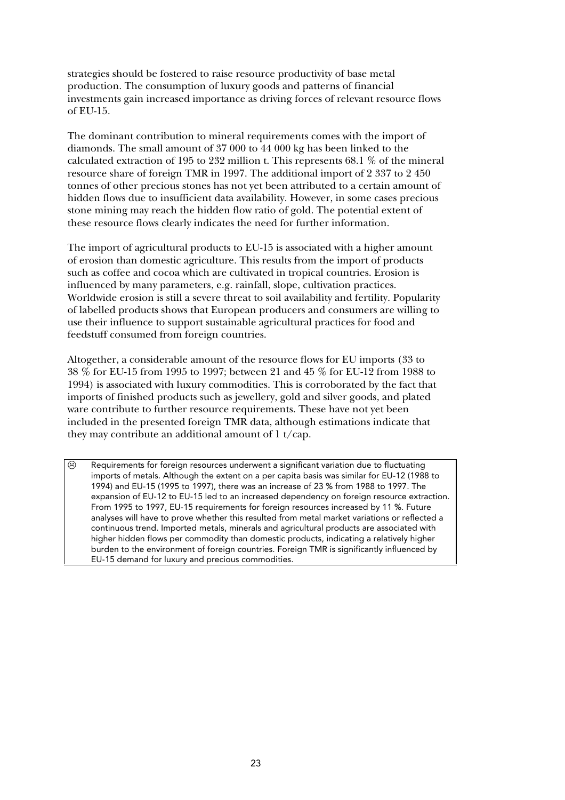strategies should be fostered to raise resource productivity of base metal production. The consumption of luxury goods and patterns of financial investments gain increased importance as driving forces of relevant resource flows of EU-15.

The dominant contribution to mineral requirements comes with the import of diamonds. The small amount of 37 000 to 44 000 kg has been linked to the calculated extraction of 195 to 232 million t. This represents 68.1 % of the mineral resource share of foreign TMR in 1997. The additional import of 2 337 to 2 450 tonnes of other precious stones has not yet been attributed to a certain amount of hidden flows due to insufficient data availability. However, in some cases precious stone mining may reach the hidden flow ratio of gold. The potential extent of these resource flows clearly indicates the need for further information.

The import of agricultural products to EU-15 is associated with a higher amount of erosion than domestic agriculture. This results from the import of products such as coffee and cocoa which are cultivated in tropical countries. Erosion is influenced by many parameters, e.g. rainfall, slope, cultivation practices. Worldwide erosion is still a severe threat to soil availability and fertility. Popularity of labelled products shows that European producers and consumers are willing to use their influence to support sustainable agricultural practices for food and feedstuff consumed from foreign countries.

Altogether, a considerable amount of the resource flows for EU imports (33 to 38 % for EU-15 from 1995 to 1997; between 21 and 45 % for EU-12 from 1988 to 1994) is associated with luxury commodities. This is corroborated by the fact that imports of finished products such as jewellery, gold and silver goods, and plated ware contribute to further resource requirements. These have not yet been included in the presented foreign TMR data, although estimations indicate that they may contribute an additional amount of  $1 \frac{t}{cap}$ .

 $\odot$  Requirements for foreign resources underwent a significant variation due to fluctuating imports of metals. Although the extent on a per capita basis was similar for EU-12 (1988 to 1994) and EU-15 (1995 to 1997), there was an increase of 23 % from 1988 to 1997. The expansion of EU-12 to EU-15 led to an increased dependency on foreign resource extraction. From 1995 to 1997, EU-15 requirements for foreign resources increased by 11 %. Future analyses will have to prove whether this resulted from metal market variations or reflected a continuous trend. Imported metals, minerals and agricultural products are associated with higher hidden flows per commodity than domestic products, indicating a relatively higher burden to the environment of foreign countries. Foreign TMR is significantly influenced by EU-15 demand for luxury and precious commodities.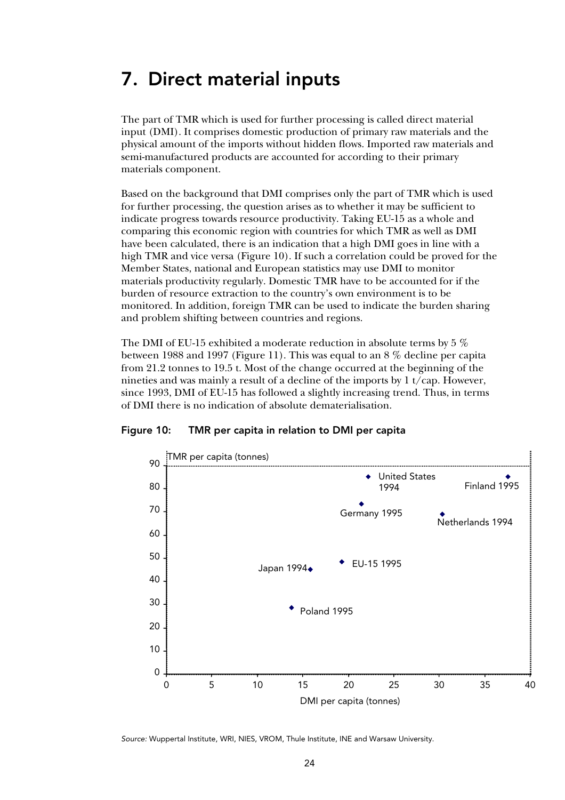## 7. Direct material inputs

The part of TMR which is used for further processing is called direct material input (DMI). It comprises domestic production of primary raw materials and the physical amount of the imports without hidden flows. Imported raw materials and semi-manufactured products are accounted for according to their primary materials component.

Based on the background that DMI comprises only the part of TMR which is used for further processing, the question arises as to whether it may be sufficient to indicate progress towards resource productivity. Taking EU-15 as a whole and comparing this economic region with countries for which TMR as well as DMI have been calculated, there is an indication that a high DMI goes in line with a high TMR and vice versa (Figure 10). If such a correlation could be proved for the Member States, national and European statistics may use DMI to monitor materials productivity regularly. Domestic TMR have to be accounted for if the burden of resource extraction to the country's own environment is to be monitored. In addition, foreign TMR can be used to indicate the burden sharing and problem shifting between countries and regions.

The DMI of EU-15 exhibited a moderate reduction in absolute terms by 5 % between 1988 and 1997 (Figure 11). This was equal to an 8 % decline per capita from 21.2 tonnes to 19.5 t. Most of the change occurred at the beginning of the nineties and was mainly a result of a decline of the imports by 1 t/cap. However, since 1993, DMI of EU-15 has followed a slightly increasing trend. Thus, in terms of DMI there is no indication of absolute dematerialisation.





Source: Wuppertal Institute, WRI, NIES, VROM, Thule Institute, INE and Warsaw University.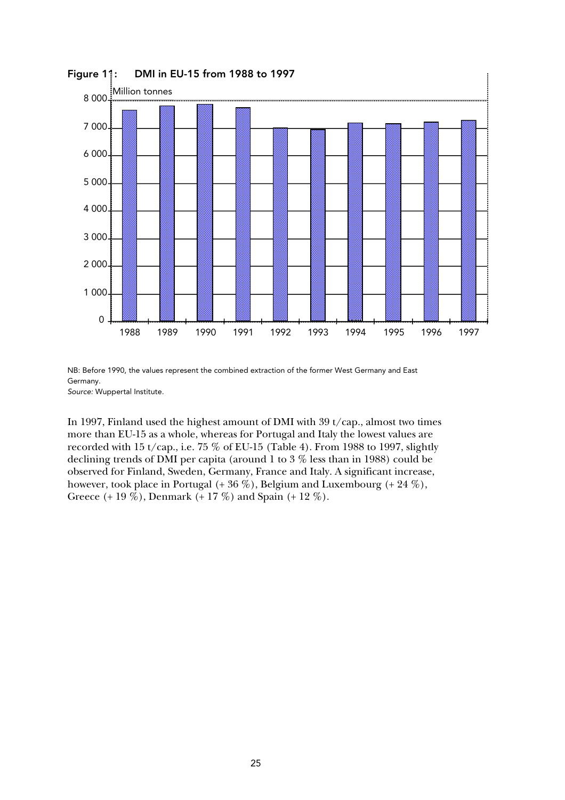

Figure 11: DMI in EU-15 from 1988 to 1997

NB: Before 1990, the values represent the combined extraction of the former West Germany and East Germany. Source: Wuppertal Institute.

In 1997, Finland used the highest amount of DMI with 39 t/cap., almost two times more than EU-15 as a whole, whereas for Portugal and Italy the lowest values are recorded with 15 t/cap., i.e. 75  $\%$  of EU-15 (Table 4). From 1988 to 1997, slightly declining trends of DMI per capita (around 1 to 3 % less than in 1988) could be observed for Finland, Sweden, Germany, France and Italy. A significant increase, however, took place in Portugal  $(+ 36\%)$ , Belgium and Luxembourg  $(+ 24\%)$ , Greece (+ 19 %), Denmark (+ 17 %) and Spain (+ 12 %).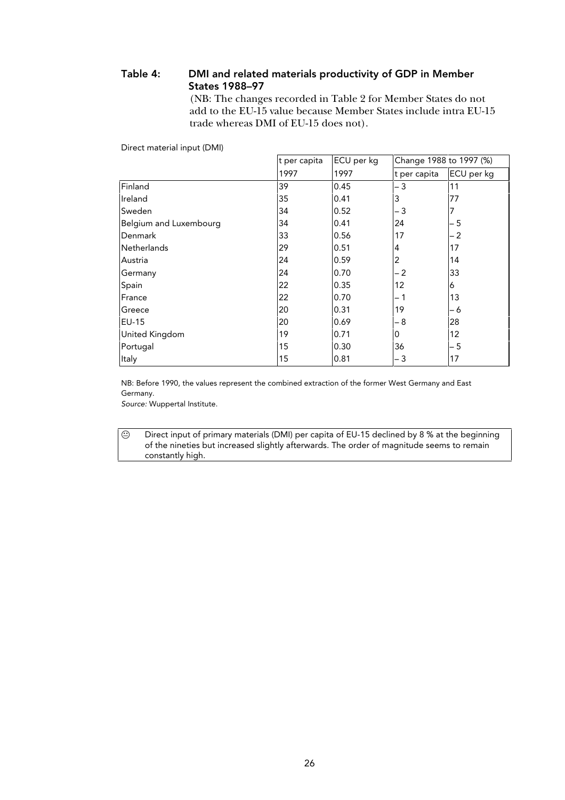### Table 4: DMI and related materials productivity of GDP in Member States 1988–97

(NB: The changes recorded in Table 2 for Member States do not add to the EU-15 value because Member States include intra EU-15 trade whereas DMI of EU-15 does not).

Direct material input (DMI)

|                        | ECU per kg<br>t per capita |      | Change 1988 to 1997 (%) |            |  |
|------------------------|----------------------------|------|-------------------------|------------|--|
|                        | 1997                       | 1997 | t per capita            | ECU per kg |  |
| Finland                | 39                         | 0.45 | - 3                     | 11         |  |
| Ireland                | 35                         | 0.41 | 3                       | 77         |  |
| Sweden                 | 34                         | 0.52 | - 3                     |            |  |
| Belgium and Luxembourg | 34                         | 0.41 | 24                      | $-5$       |  |
| Denmark                | 33                         | 0.56 | 17                      | $-2$       |  |
| <b>Netherlands</b>     | 29                         | 0.51 | 4                       | 17         |  |
| Austria                | 24                         | 0.59 | 2                       | 14         |  |
| Germany                | 24                         | 0.70 | - 2                     | 33         |  |
| Spain                  | 22                         | 0.35 | 12                      | 6          |  |
| France                 | 22                         | 0.70 | – 1                     | 13         |  |
| Greece                 | 20                         | 0.31 | 19                      | - 6        |  |
| EU-15                  | <b>20</b>                  | 0.69 | - 8                     | 28         |  |
| United Kingdom         | 19                         | 0.71 | 0                       | 12         |  |
| Portugal               | 15                         | 0.30 | 36                      | $-5$       |  |
| Italy                  | 15                         | 0.81 | - 3                     | 17         |  |

NB: Before 1990, the values represent the combined extraction of the former West Germany and East Germany.

Source: Wuppertal Institute.

 $\odot$  Direct input of primary materials (DMI) per capita of EU-15 declined by 8 % at the beginning of the nineties but increased slightly afterwards. The order of magnitude seems to remain constantly high.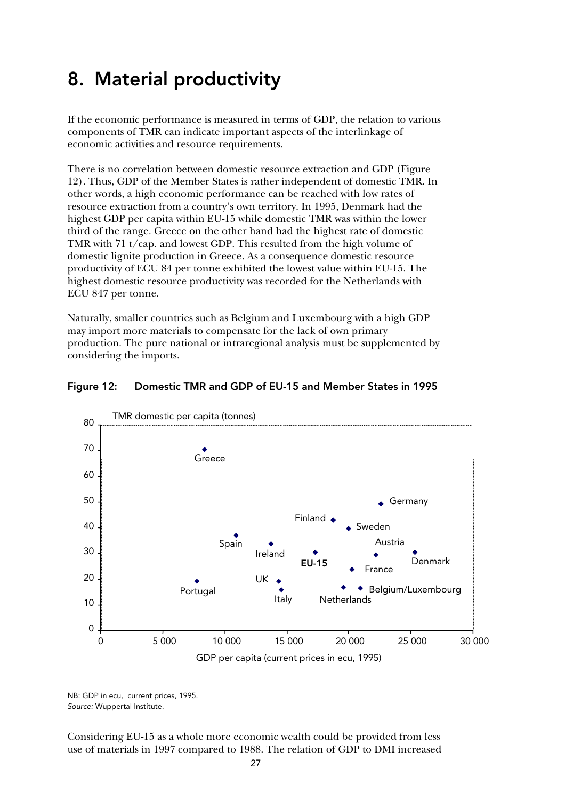## 8. Material productivity

If the economic performance is measured in terms of GDP, the relation to various components of TMR can indicate important aspects of the interlinkage of economic activities and resource requirements.

There is no correlation between domestic resource extraction and GDP (Figure 12). Thus, GDP of the Member States is rather independent of domestic TMR. In other words, a high economic performance can be reached with low rates of resource extraction from a country's own territory. In 1995, Denmark had the highest GDP per capita within EU-15 while domestic TMR was within the lower third of the range. Greece on the other hand had the highest rate of domestic TMR with 71 t/cap. and lowest GDP. This resulted from the high volume of domestic lignite production in Greece. As a consequence domestic resource productivity of ECU 84 per tonne exhibited the lowest value within EU-15. The highest domestic resource productivity was recorded for the Netherlands with ECU 847 per tonne.

Naturally, smaller countries such as Belgium and Luxembourg with a high GDP may import more materials to compensate for the lack of own primary production. The pure national or intraregional analysis must be supplemented by considering the imports.



### Figure 12: Domestic TMR and GDP of EU-15 and Member States in 1995

NB: GDP in ecu, current prices, 1995. Source: Wuppertal Institute.

Considering EU-15 as a whole more economic wealth could be provided from less use of materials in 1997 compared to 1988. The relation of GDP to DMI increased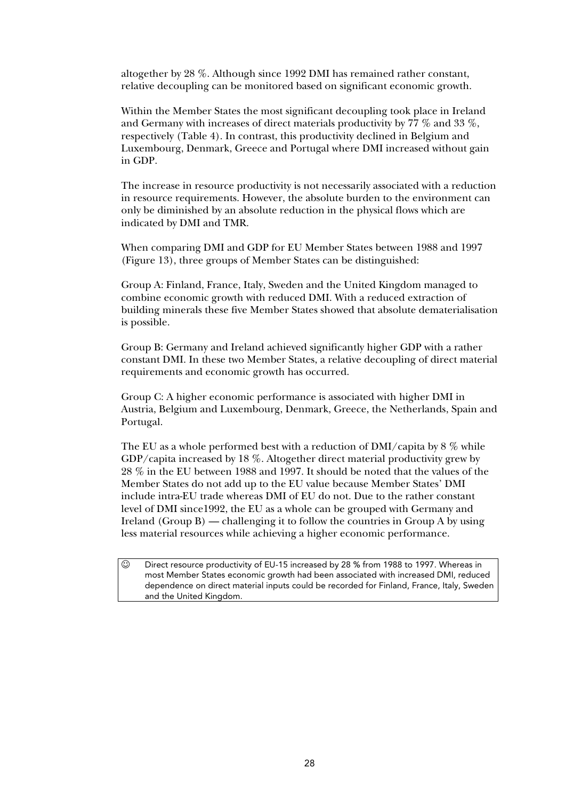altogether by 28 %. Although since 1992 DMI has remained rather constant, relative decoupling can be monitored based on significant economic growth.

Within the Member States the most significant decoupling took place in Ireland and Germany with increases of direct materials productivity by 77 % and 33 %, respectively (Table 4). In contrast, this productivity declined in Belgium and Luxembourg, Denmark, Greece and Portugal where DMI increased without gain in GDP.

The increase in resource productivity is not necessarily associated with a reduction in resource requirements. However, the absolute burden to the environment can only be diminished by an absolute reduction in the physical flows which are indicated by DMI and TMR.

When comparing DMI and GDP for EU Member States between 1988 and 1997 (Figure 13), three groups of Member States can be distinguished:

Group A: Finland, France, Italy, Sweden and the United Kingdom managed to combine economic growth with reduced DMI. With a reduced extraction of building minerals these five Member States showed that absolute dematerialisation is possible.

Group B: Germany and Ireland achieved significantly higher GDP with a rather constant DMI. In these two Member States, a relative decoupling of direct material requirements and economic growth has occurred.

Group C: A higher economic performance is associated with higher DMI in Austria, Belgium and Luxembourg, Denmark, Greece, the Netherlands, Spain and Portugal.

The EU as a whole performed best with a reduction of DMI/capita by 8 % while GDP/capita increased by 18 %. Altogether direct material productivity grew by 28 % in the EU between 1988 and 1997. It should be noted that the values of the Member States do not add up to the EU value because Member States' DMI include intra-EU trade whereas DMI of EU do not. Due to the rather constant level of DMI since1992, the EU as a whole can be grouped with Germany and Ireland (Group B) — challenging it to follow the countries in Group A by using less material resources while achieving a higher economic performance.

 $\odot$  Direct resource productivity of EU-15 increased by 28 % from 1988 to 1997. Whereas in most Member States economic growth had been associated with increased DMI, reduced dependence on direct material inputs could be recorded for Finland, France, Italy, Sweden and the United Kingdom.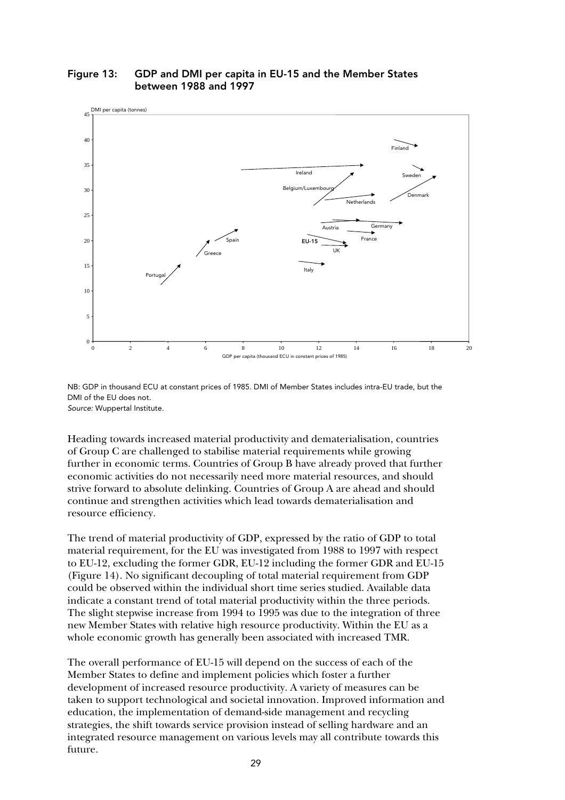

### Figure 13: GDP and DMI per capita in EU-15 and the Member States between 1988 and 1997

NB: GDP in thousand ECU at constant prices of 1985. DMI of Member States includes intra-EU trade, but the DMI of the EU does not. Source: Wuppertal Institute.

Heading towards increased material productivity and dematerialisation, countries of Group C are challenged to stabilise material requirements while growing further in economic terms. Countries of Group B have already proved that further economic activities do not necessarily need more material resources, and should strive forward to absolute delinking. Countries of Group A are ahead and should continue and strengthen activities which lead towards dematerialisation and resource efficiency.

The trend of material productivity of GDP, expressed by the ratio of GDP to total material requirement, for the EU was investigated from 1988 to 1997 with respect to EU-12, excluding the former GDR, EU-12 including the former GDR and EU-15 (Figure 14). No significant decoupling of total material requirement from GDP could be observed within the individual short time series studied. Available data indicate a constant trend of total material productivity within the three periods. The slight stepwise increase from 1994 to 1995 was due to the integration of three new Member States with relative high resource productivity. Within the EU as a whole economic growth has generally been associated with increased TMR.

The overall performance of EU-15 will depend on the success of each of the Member States to define and implement policies which foster a further development of increased resource productivity. A variety of measures can be taken to support technological and societal innovation. Improved information and education, the implementation of demand-side management and recycling strategies, the shift towards service provision instead of selling hardware and an integrated resource management on various levels may all contribute towards this future.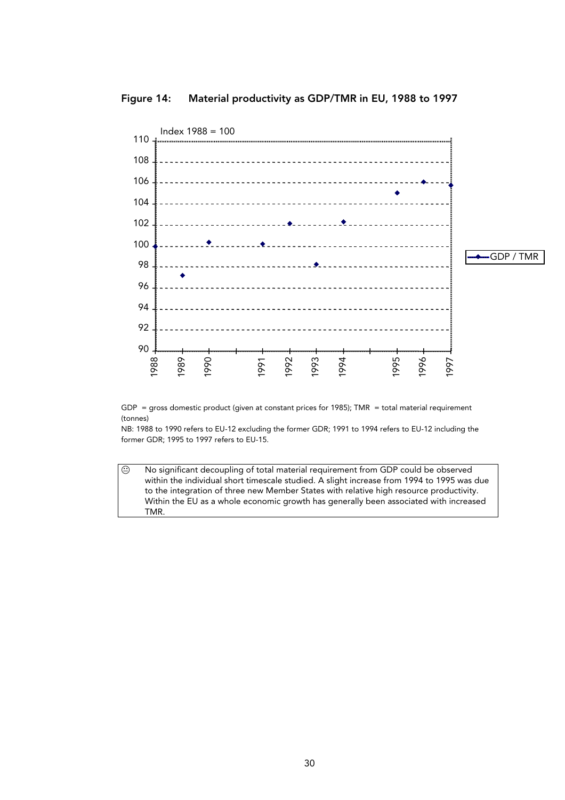





NB: 1988 to 1990 refers to EU-12 excluding the former GDR; 1991 to 1994 refers to EU-12 including the former GDR; 1995 to 1997 refers to EU-15.

 $\Theta$  No significant decoupling of total material requirement from GDP could be observed within the individual short timescale studied. A slight increase from 1994 to 1995 was due to the integration of three new Member States with relative high resource productivity. Within the EU as a whole economic growth has generally been associated with increased TMR.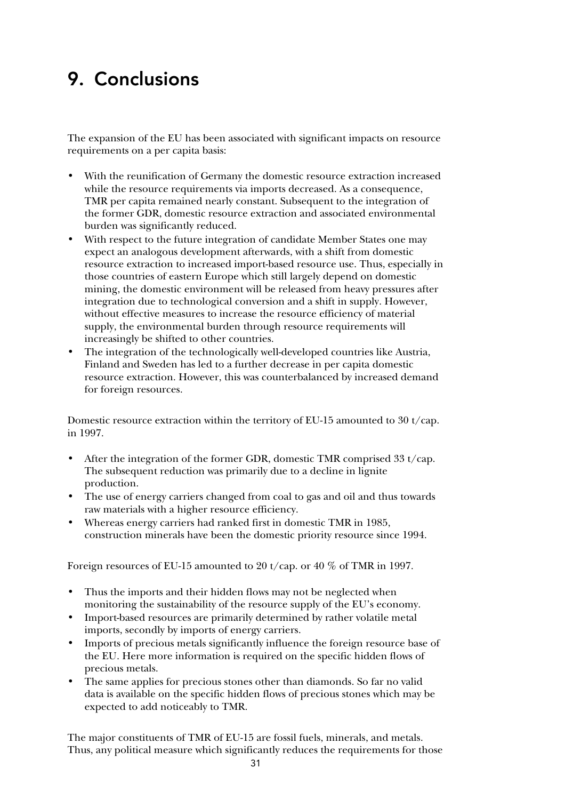## 9. Conclusions

The expansion of the EU has been associated with significant impacts on resource requirements on a per capita basis:

- With the reunification of Germany the domestic resource extraction increased while the resource requirements via imports decreased. As a consequence, TMR per capita remained nearly constant. Subsequent to the integration of the former GDR, domestic resource extraction and associated environmental burden was significantly reduced.
- With respect to the future integration of candidate Member States one may expect an analogous development afterwards, with a shift from domestic resource extraction to increased import-based resource use. Thus, especially in those countries of eastern Europe which still largely depend on domestic mining, the domestic environment will be released from heavy pressures after integration due to technological conversion and a shift in supply. However, without effective measures to increase the resource efficiency of material supply, the environmental burden through resource requirements will increasingly be shifted to other countries.
- The integration of the technologically well-developed countries like Austria, Finland and Sweden has led to a further decrease in per capita domestic resource extraction. However, this was counterbalanced by increased demand for foreign resources.

Domestic resource extraction within the territory of EU-15 amounted to 30 t/cap. in 1997.

- After the integration of the former GDR, domestic TMR comprised 33 t/cap. The subsequent reduction was primarily due to a decline in lignite production.
- The use of energy carriers changed from coal to gas and oil and thus towards raw materials with a higher resource efficiency.
- Whereas energy carriers had ranked first in domestic TMR in 1985, construction minerals have been the domestic priority resource since 1994.

Foreign resources of EU-15 amounted to 20 t/cap. or 40 % of TMR in 1997.

- Thus the imports and their hidden flows may not be neglected when monitoring the sustainability of the resource supply of the EU's economy.
- Import-based resources are primarily determined by rather volatile metal imports, secondly by imports of energy carriers.
- Imports of precious metals significantly influence the foreign resource base of the EU. Here more information is required on the specific hidden flows of precious metals.
- The same applies for precious stones other than diamonds. So far no valid data is available on the specific hidden flows of precious stones which may be expected to add noticeably to TMR.

 $31$ The major constituents of TMR of EU-15 are fossil fuels, minerals, and metals. Thus, any political measure which significantly reduces the requirements for those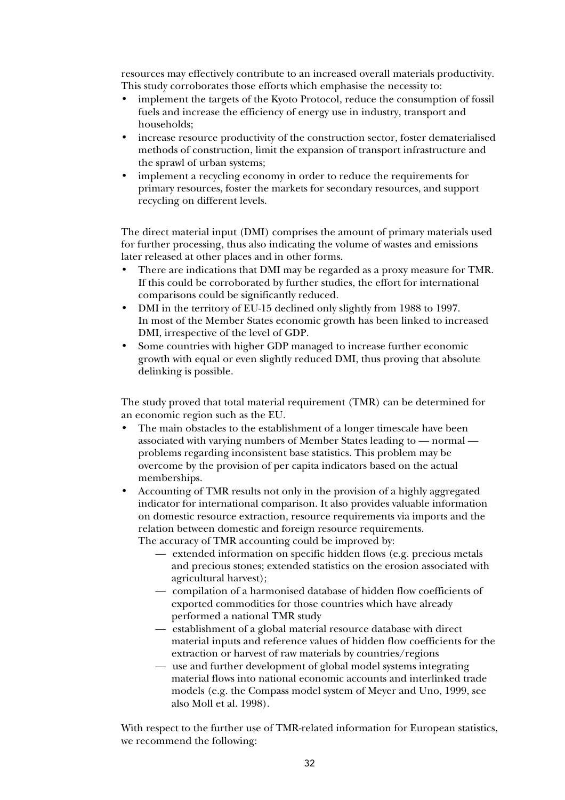resources may effectively contribute to an increased overall materials productivity. This study corroborates those efforts which emphasise the necessity to:

- implement the targets of the Kyoto Protocol, reduce the consumption of fossil fuels and increase the efficiency of energy use in industry, transport and households;
- increase resource productivity of the construction sector, foster dematerialised methods of construction, limit the expansion of transport infrastructure and the sprawl of urban systems;
- implement a recycling economy in order to reduce the requirements for primary resources, foster the markets for secondary resources, and support recycling on different levels.

The direct material input (DMI) comprises the amount of primary materials used for further processing, thus also indicating the volume of wastes and emissions later released at other places and in other forms.

- There are indications that DMI may be regarded as a proxy measure for TMR. If this could be corroborated by further studies, the effort for international comparisons could be significantly reduced.
- DMI in the territory of EU-15 declined only slightly from 1988 to 1997. In most of the Member States economic growth has been linked to increased DMI, irrespective of the level of GDP.
- Some countries with higher GDP managed to increase further economic growth with equal or even slightly reduced DMI, thus proving that absolute delinking is possible.

The study proved that total material requirement (TMR) can be determined for an economic region such as the EU.

- The main obstacles to the establishment of a longer timescale have been associated with varying numbers of Member States leading to — normal problems regarding inconsistent base statistics. This problem may be overcome by the provision of per capita indicators based on the actual memberships.
- Accounting of TMR results not only in the provision of a highly aggregated indicator for international comparison. It also provides valuable information on domestic resource extraction, resource requirements via imports and the relation between domestic and foreign resource requirements.

The accuracy of TMR accounting could be improved by:

- extended information on specific hidden flows (e.g. precious metals and precious stones; extended statistics on the erosion associated with agricultural harvest);
- compilation of a harmonised database of hidden flow coefficients of exported commodities for those countries which have already performed a national TMR study
- establishment of a global material resource database with direct material inputs and reference values of hidden flow coefficients for the extraction or harvest of raw materials by countries/regions
- use and further development of global model systems integrating material flows into national economic accounts and interlinked trade models (e.g. the Compass model system of Meyer and Uno, 1999, see also Moll et al. 1998).

With respect to the further use of TMR-related information for European statistics, we recommend the following: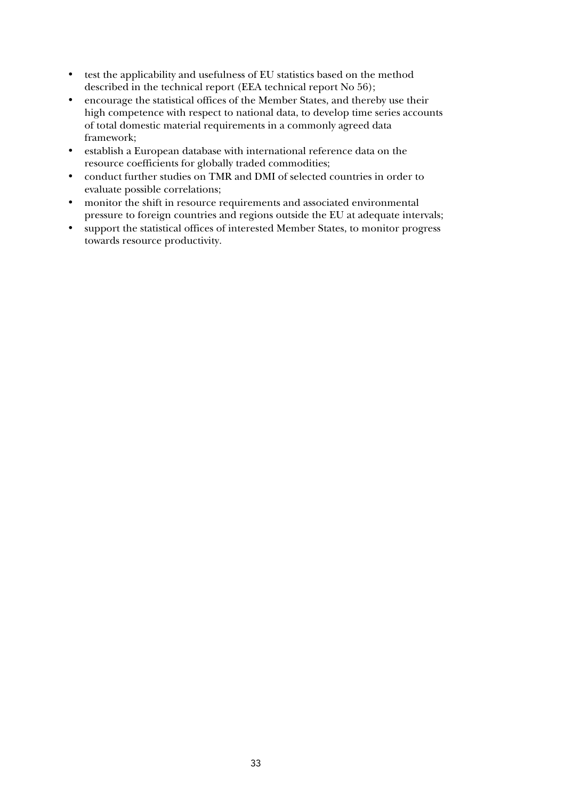- test the applicability and usefulness of EU statistics based on the method described in the technical report (EEA technical report No 56);
- encourage the statistical offices of the Member States, and thereby use their high competence with respect to national data, to develop time series accounts of total domestic material requirements in a commonly agreed data framework;
- establish a European database with international reference data on the resource coefficients for globally traded commodities;
- conduct further studies on TMR and DMI of selected countries in order to evaluate possible correlations;
- monitor the shift in resource requirements and associated environmental pressure to foreign countries and regions outside the EU at adequate intervals;
- support the statistical offices of interested Member States, to monitor progress towards resource productivity.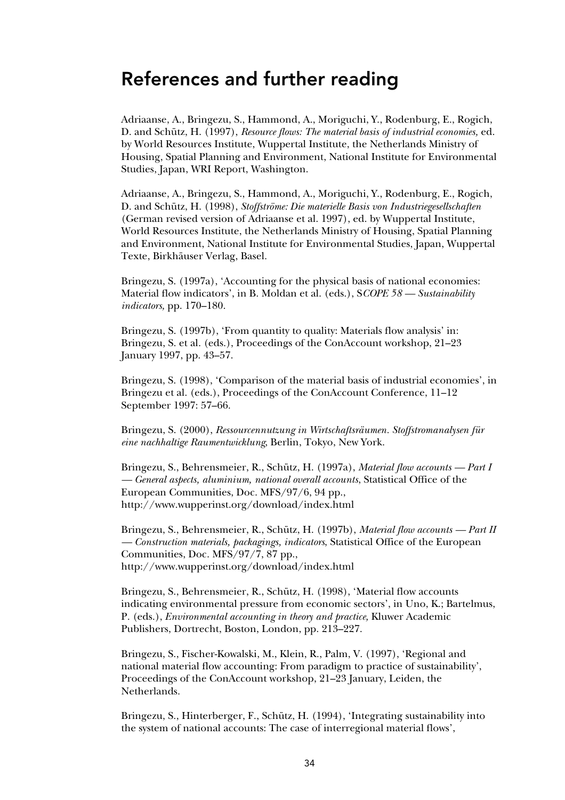### References and further reading

Adriaanse, A., Bringezu, S., Hammond, A., Moriguchi, Y., Rodenburg, E., Rogich, D. and Schütz, H. (1997), *Resource flows: The material basis of industrial economies,* ed. by World Resources Institute, Wuppertal Institute, the Netherlands Ministry of Housing, Spatial Planning and Environment, National Institute for Environmental Studies, Japan, WRI Report, Washington.

Adriaanse, A., Bringezu, S., Hammond, A., Moriguchi, Y., Rodenburg, E., Rogich, D. and Schütz, H. (1998), *Stoffströme: Die materielle Basis von Industriegesellschaften* (German revised version of Adriaanse et al. 1997), ed. by Wuppertal Institute, World Resources Institute, the Netherlands Ministry of Housing, Spatial Planning and Environment, National Institute for Environmental Studies, Japan, Wuppertal Texte, Birkhäuser Verlag, Basel.

Bringezu, S. (1997a), 'Accounting for the physical basis of national economies: Material flow indicators', in B. Moldan et al. (eds.), S*COPE 58 — Sustainability indicators,* pp. 170–180.

Bringezu, S. (1997b), 'From quantity to quality: Materials flow analysis' in: Bringezu, S. et al. (eds.), Proceedings of the ConAccount workshop, 21–23 January 1997, pp. 43–57.

Bringezu, S. (1998), 'Comparison of the material basis of industrial economies', in Bringezu et al. (eds.), Proceedings of the ConAccount Conference, 11–12 September 1997: 57–66.

Bringezu, S. (2000), *Ressourcennutzung in Wirtschaftsräumen. Stoffstromanalysen für eine nachhaltige Raumentwicklung*, Berlin, Tokyo, New York.

Bringezu, S., Behrensmeier, R., Schütz, H. (1997a), *Material flow accounts — Part I — General aspects, aluminium, national overall accounts*, Statistical Office of the European Communities, Doc. MFS/97/6, 94 pp., http://www.wupperinst.org/download/index.html

Bringezu, S., Behrensmeier, R., Schütz, H. (1997b), *Material flow accounts — Part II — Construction materials, packagings, indicators*, Statistical Office of the European Communities, Doc. MFS/97/7, 87 pp., http://www.wupperinst.org/download/index.html

Bringezu, S., Behrensmeier, R., Schütz, H. (1998), 'Material flow accounts indicating environmental pressure from economic sectors', in Uno, K.; Bartelmus, P. (eds.), *Environmental accounting in theory and practice,* Kluwer Academic Publishers, Dortrecht, Boston, London, pp. 213–227.

Bringezu, S., Fischer-Kowalski, M., Klein, R., Palm, V. (1997), 'Regional and national material flow accounting: From paradigm to practice of sustainability', Proceedings of the ConAccount workshop, 21–23 January, Leiden, the Netherlands.

Bringezu, S., Hinterberger, F., Schütz, H. (1994), 'Integrating sustainability into the system of national accounts: The case of interregional material flows',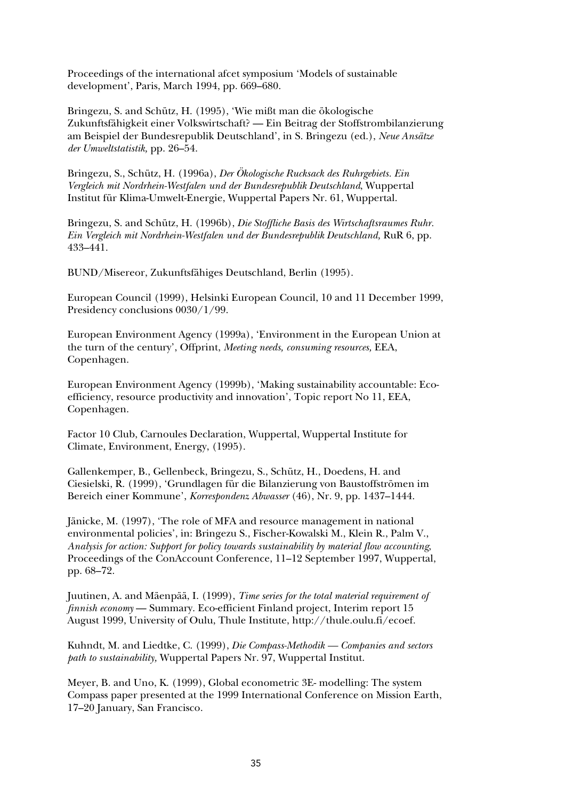Proceedings of the international afcet symposium 'Models of sustainable development', Paris, March 1994, pp. 669–680.

Bringezu, S. and Schütz, H. (1995), 'Wie mißt man die ökologische Zukunftsfähigkeit einer Volkswirtschaft? — Ein Beitrag der Stoffstrombilanzierung am Beispiel der Bundesrepublik Deutschland', in S. Bringezu (ed.), *Neue Ansätze der Umweltstatistik,* pp. 26–54.

Bringezu, S., Schütz, H. (1996a), *Der Ökologische Rucksack des Ruhrgebiets. Ein Vergleich mit Nordrhein-Westfalen und der Bundesrepublik Deutschland*, Wuppertal Institut für Klima-Umwelt-Energie, Wuppertal Papers Nr. 61, Wuppertal.

Bringezu, S. and Schütz, H. (1996b), *Die Stoffliche Basis des Wirtschaftsraumes Ruhr. Ein Vergleich mit Nordrhein-Westfalen und der Bundesrepublik Deutschland,* RuR 6, pp. 433–441.

BUND/Misereor, Zukunftsfähiges Deutschland, Berlin (1995).

European Council (1999), Helsinki European Council, 10 and 11 December 1999, Presidency conclusions 0030/1/99.

European Environment Agency (1999a), 'Environment in the European Union at the turn of the century', Offprint, *Meeting needs, consuming resources,* EEA, Copenhagen.

European Environment Agency (1999b), 'Making sustainability accountable: Ecoefficiency, resource productivity and innovation', Topic report No 11, EEA, Copenhagen.

Factor 10 Club, Carnoules Declaration, Wuppertal, Wuppertal Institute for Climate, Environment, Energy, (1995).

Gallenkemper, B., Gellenbeck, Bringezu, S., Schütz, H., Doedens, H. and Ciesielski, R. (1999), 'Grundlagen für die Bilanzierung von Baustoffströmen im Bereich einer Kommune', *Korrespondenz Abwasser* (46), Nr. 9, pp. 1437–1444.

Jänicke, M. (1997), 'The role of MFA and resource management in national environmental policies', in: Bringezu S., Fischer-Kowalski M., Klein R., Palm V., *Analysis for action: Support for policy towards sustainability by material flow accounting*, Proceedings of the ConAccount Conference, 11–12 September 1997, Wuppertal, pp. 68–72.

Juutinen, A. and Mäenpää, I. (1999), *Time series for the total material requirement of finnish economy* — Summary. Eco-efficient Finland project, Interim report 15 August 1999, University of Oulu, Thule Institute, http://thule.oulu.fi/ecoef.

Kuhndt, M. and Liedtke, C. (1999), *Die Compass-Methodik — Companies and sectors path to sustainability,* Wuppertal Papers Nr. 97, Wuppertal Institut.

Meyer, B. and Uno, K. (1999), Global econometric 3E- modelling: The system Compass paper presented at the 1999 International Conference on Mission Earth, 17–20 January, San Francisco.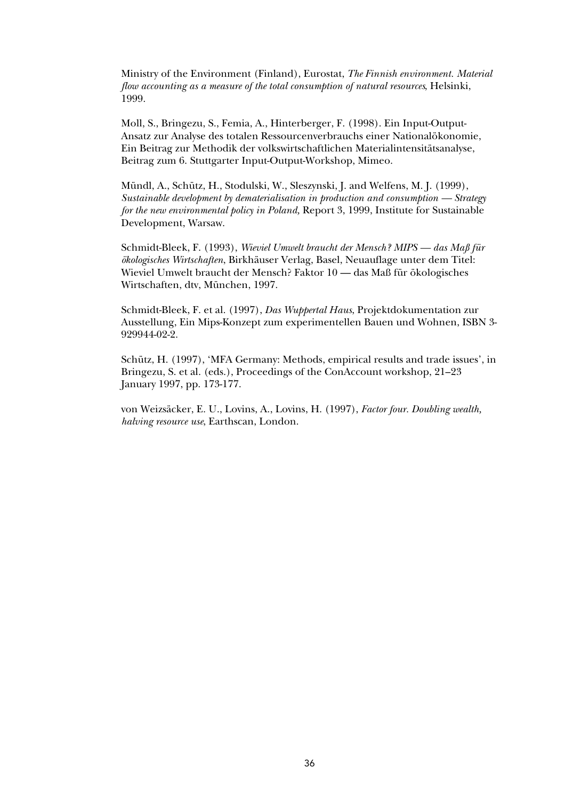Ministry of the Environment (Finland), Eurostat, *The Finnish environment. Material flow accounting as a measure of the total consumption of natural resources*, Helsinki, 1999.

Moll, S., Bringezu, S., Femia, A., Hinterberger, F. (1998). Ein Input-Output-Ansatz zur Analyse des totalen Ressourcenverbrauchs einer Nationalökonomie, Ein Beitrag zur Methodik der volkswirtschaftlichen Materialintensitätsanalyse, Beitrag zum 6. Stuttgarter Input-Output-Workshop, Mimeo.

Mündl, A., Schütz, H., Stodulski, W., Sleszynski, J. and Welfens, M. J. (1999), *Sustainable development by dematerialisation in production and consumption — Strategy for the new environmental policy in Poland,* Report 3, 1999, Institute for Sustainable Development, Warsaw.

Schmidt-Bleek, F. (1993), *Wieviel Umwelt braucht der Mensch? MIPS — das Maß für ökologisches Wirtschaften*, Birkhäuser Verlag, Basel, Neuauflage unter dem Titel: Wieviel Umwelt braucht der Mensch? Faktor 10 — das Maß für ökologisches Wirtschaften, dtv, München, 1997.

Schmidt-Bleek, F. et al. (1997), *Das Wuppertal Haus*, Projektdokumentation zur Ausstellung, Ein Mips-Konzept zum experimentellen Bauen und Wohnen, ISBN 3- 929944-02-2.

Schütz, H. (1997), 'MFA Germany: Methods, empirical results and trade issues', in Bringezu, S. et al. (eds.), Proceedings of the ConAccount workshop, 21–23 January 1997, pp. 173-177.

von Weizsäcker, E. U., Lovins, A., Lovins, H. (1997), *Factor four. Doubling wealth, halving resource use*, Earthscan, London.